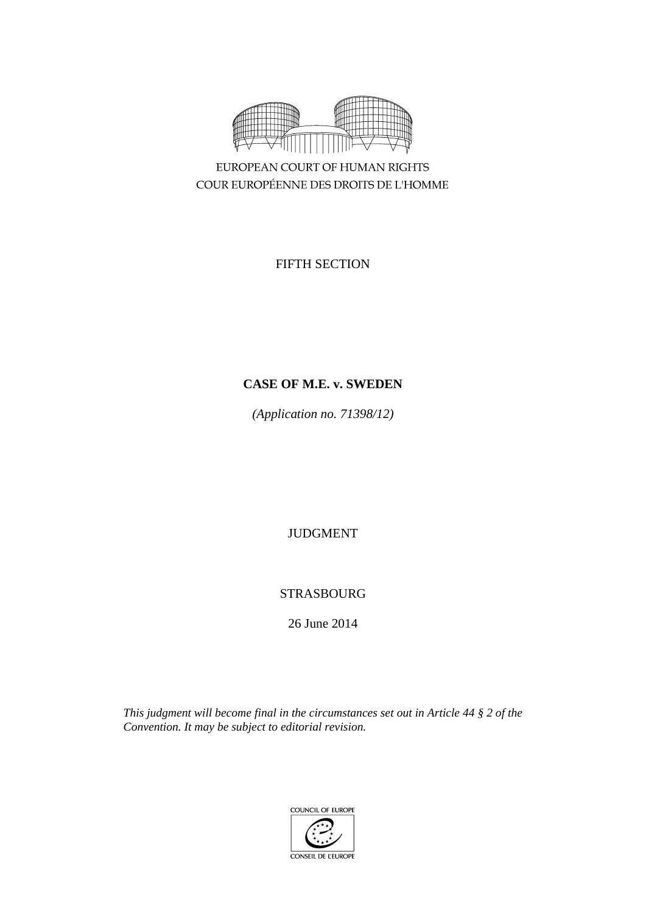

EUROPEAN COURT OF HUMAN RIGHTS COUR EUROPÉENNE DES DROITS DE L'HOMME

# FIFTH SECTION

# **CASE OF M.E. v. SWEDEN**

*(Application no. 71398/12)*

JUDGMENT

# STRASBOURG

26 June 2014

*This judgment will become final in the circumstances set out in Article 44 § 2 of the Convention. It may be subject to editorial revision.*

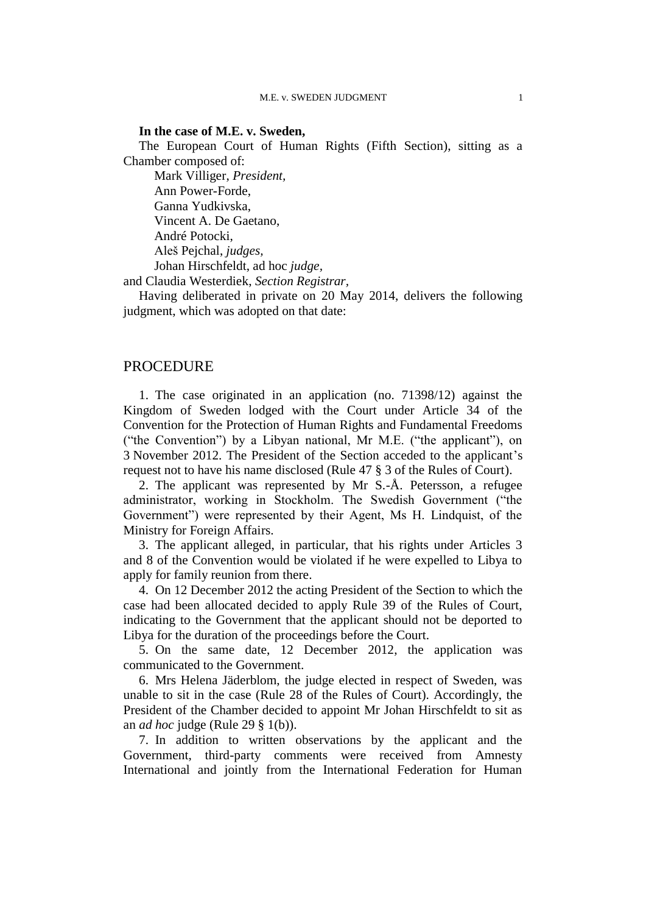#### **In the case of M.E. v. Sweden,**

The European Court of Human Rights (Fifth Section), sitting as a Chamber composed of:

Mark Villiger, *President,* Ann Power-Forde, Ganna Yudkivska, Vincent A. De Gaetano, André Potocki, Aleš Pejchal, *judges,* Johan Hirschfeldt, ad hoc *judge,*

and Claudia Westerdiek, *Section Registrar,*

Having deliberated in private on 20 May 2014, delivers the following judgment, which was adopted on that date:

### PROCEDURE

1. The case originated in an application (no. 71398/12) against the Kingdom of Sweden lodged with the Court under Article 34 of the Convention for the Protection of Human Rights and Fundamental Freedoms ("the Convention") by a Libyan national, Mr M.E. ("the applicant"), on 3 November 2012. The President of the Section acceded to the applicant's request not to have his name disclosed (Rule 47 § 3 of the Rules of Court).

2. The applicant was represented by Mr S.-Å. Petersson, a refugee administrator, working in Stockholm. The Swedish Government ("the Government") were represented by their Agent, Ms H. Lindquist, of the Ministry for Foreign Affairs.

3. The applicant alleged, in particular, that his rights under Articles 3 and 8 of the Convention would be violated if he were expelled to Libya to apply for family reunion from there.

4. On 12 December 2012 the acting President of the Section to which the case had been allocated decided to apply Rule 39 of the Rules of Court, indicating to the Government that the applicant should not be deported to Libya for the duration of the proceedings before the Court.

5. On the same date, 12 December 2012, the application was communicated to the Government.

6. Mrs Helena Jäderblom, the judge elected in respect of Sweden, was unable to sit in the case (Rule 28 of the Rules of Court). Accordingly, the President of the Chamber decided to appoint Mr Johan Hirschfeldt to sit as an *ad hoc* judge (Rule 29 § 1(b)).

7. In addition to written observations by the applicant and the Government, third-party comments were received from Amnesty International and jointly from the International Federation for Human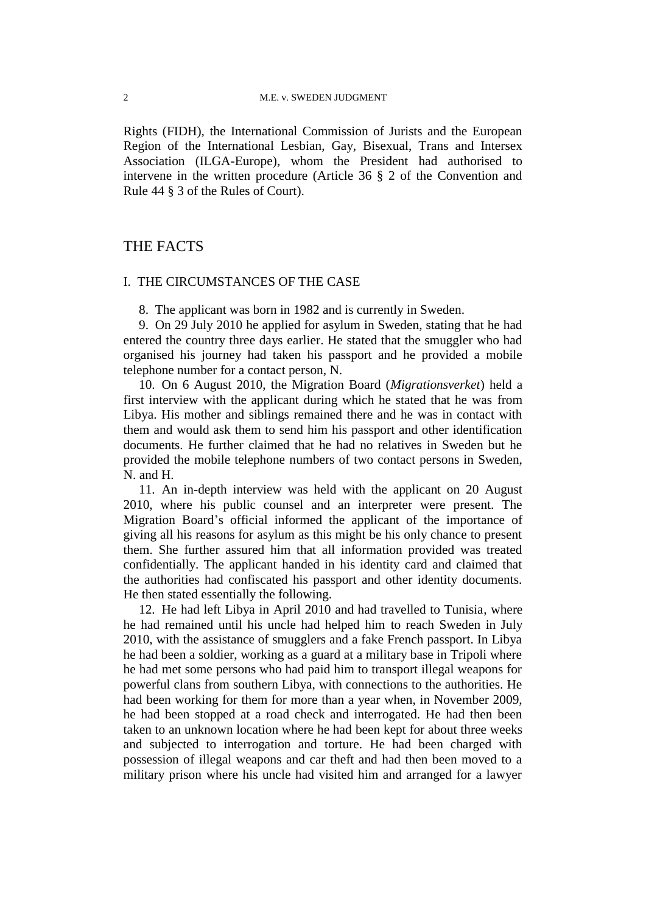Rights (FIDH), the International Commission of Jurists and the European Region of the International Lesbian, Gay, Bisexual, Trans and Intersex Association (ILGA-Europe), whom the President had authorised to intervene in the written procedure (Article 36 § 2 of the Convention and Rule 44 § 3 of the Rules of Court).

## THE FACTS

#### I. THE CIRCUMSTANCES OF THE CASE

8. The applicant was born in 1982 and is currently in Sweden.

9. On 29 July 2010 he applied for asylum in Sweden, stating that he had entered the country three days earlier. He stated that the smuggler who had organised his journey had taken his passport and he provided a mobile telephone number for a contact person, N.

10. On 6 August 2010, the Migration Board (*Migrationsverket*) held a first interview with the applicant during which he stated that he was from Libya. His mother and siblings remained there and he was in contact with them and would ask them to send him his passport and other identification documents. He further claimed that he had no relatives in Sweden but he provided the mobile telephone numbers of two contact persons in Sweden, N. and H.

11. An in-depth interview was held with the applicant on 20 August 2010, where his public counsel and an interpreter were present. The Migration Board's official informed the applicant of the importance of giving all his reasons for asylum as this might be his only chance to present them. She further assured him that all information provided was treated confidentially. The applicant handed in his identity card and claimed that the authorities had confiscated his passport and other identity documents. He then stated essentially the following.

12. He had left Libya in April 2010 and had travelled to Tunisia, where he had remained until his uncle had helped him to reach Sweden in July 2010, with the assistance of smugglers and a fake French passport. In Libya he had been a soldier, working as a guard at a military base in Tripoli where he had met some persons who had paid him to transport illegal weapons for powerful clans from southern Libya, with connections to the authorities. He had been working for them for more than a year when, in November 2009, he had been stopped at a road check and interrogated. He had then been taken to an unknown location where he had been kept for about three weeks and subjected to interrogation and torture. He had been charged with possession of illegal weapons and car theft and had then been moved to a military prison where his uncle had visited him and arranged for a lawyer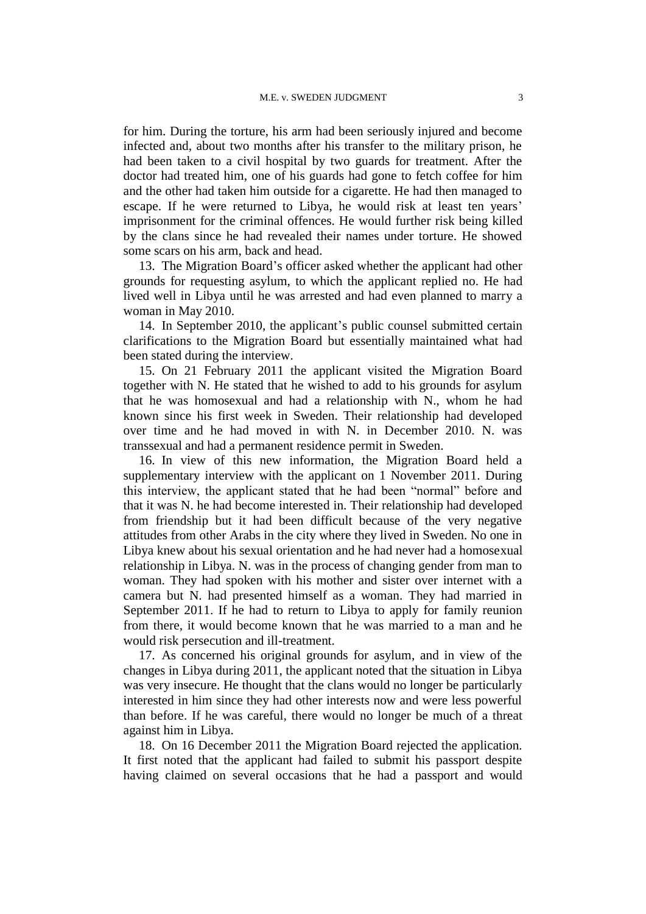for him. During the torture, his arm had been seriously injured and become infected and, about two months after his transfer to the military prison, he had been taken to a civil hospital by two guards for treatment. After the doctor had treated him, one of his guards had gone to fetch coffee for him and the other had taken him outside for a cigarette. He had then managed to escape. If he were returned to Libya, he would risk at least ten years' imprisonment for the criminal offences. He would further risk being killed by the clans since he had revealed their names under torture. He showed some scars on his arm, back and head.

13. The Migration Board's officer asked whether the applicant had other grounds for requesting asylum, to which the applicant replied no. He had lived well in Libya until he was arrested and had even planned to marry a woman in May 2010.

14. In September 2010, the applicant's public counsel submitted certain clarifications to the Migration Board but essentially maintained what had been stated during the interview.

15. On 21 February 2011 the applicant visited the Migration Board together with N. He stated that he wished to add to his grounds for asylum that he was homosexual and had a relationship with N., whom he had known since his first week in Sweden. Their relationship had developed over time and he had moved in with N. in December 2010. N. was transsexual and had a permanent residence permit in Sweden.

16. In view of this new information, the Migration Board held a supplementary interview with the applicant on 1 November 2011. During this interview, the applicant stated that he had been "normal" before and that it was N. he had become interested in. Their relationship had developed from friendship but it had been difficult because of the very negative attitudes from other Arabs in the city where they lived in Sweden. No one in Libya knew about his sexual orientation and he had never had a homosexual relationship in Libya. N. was in the process of changing gender from man to woman. They had spoken with his mother and sister over internet with a camera but N. had presented himself as a woman. They had married in September 2011. If he had to return to Libya to apply for family reunion from there, it would become known that he was married to a man and he would risk persecution and ill-treatment.

17. As concerned his original grounds for asylum, and in view of the changes in Libya during 2011, the applicant noted that the situation in Libya was very insecure. He thought that the clans would no longer be particularly interested in him since they had other interests now and were less powerful than before. If he was careful, there would no longer be much of a threat against him in Libya.

18. On 16 December 2011 the Migration Board rejected the application. It first noted that the applicant had failed to submit his passport despite having claimed on several occasions that he had a passport and would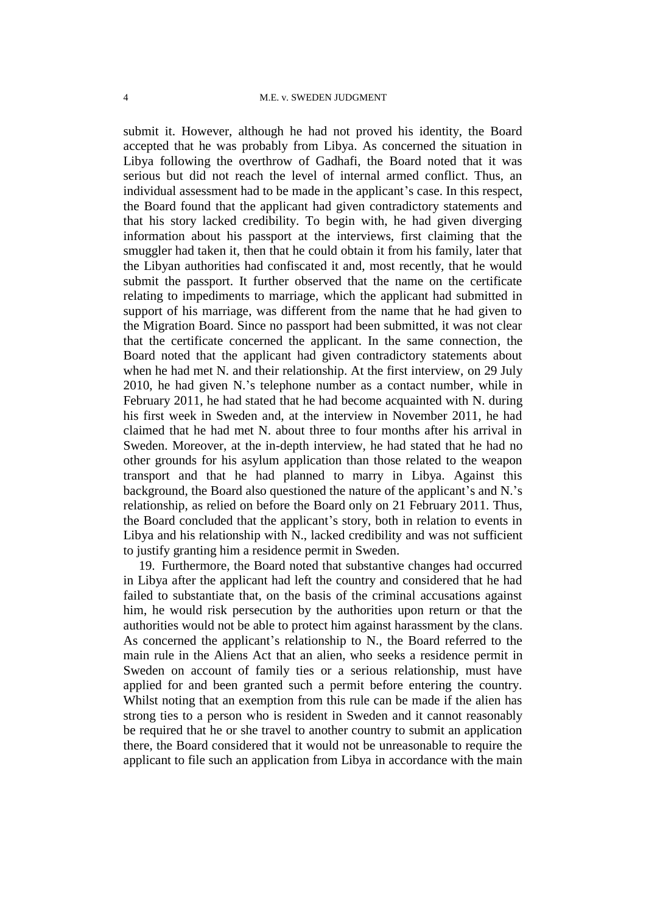submit it. However, although he had not proved his identity, the Board accepted that he was probably from Libya. As concerned the situation in Libya following the overthrow of Gadhafi, the Board noted that it was serious but did not reach the level of internal armed conflict. Thus, an individual assessment had to be made in the applicant's case. In this respect, the Board found that the applicant had given contradictory statements and that his story lacked credibility. To begin with, he had given diverging information about his passport at the interviews, first claiming that the smuggler had taken it, then that he could obtain it from his family, later that the Libyan authorities had confiscated it and, most recently, that he would submit the passport. It further observed that the name on the certificate relating to impediments to marriage, which the applicant had submitted in support of his marriage, was different from the name that he had given to the Migration Board. Since no passport had been submitted, it was not clear that the certificate concerned the applicant. In the same connection, the Board noted that the applicant had given contradictory statements about when he had met N. and their relationship. At the first interview, on 29 July 2010, he had given N.'s telephone number as a contact number, while in February 2011, he had stated that he had become acquainted with N. during his first week in Sweden and, at the interview in November 2011, he had claimed that he had met N. about three to four months after his arrival in Sweden. Moreover, at the in-depth interview, he had stated that he had no other grounds for his asylum application than those related to the weapon transport and that he had planned to marry in Libya. Against this background, the Board also questioned the nature of the applicant's and N.'s relationship, as relied on before the Board only on 21 February 2011. Thus, the Board concluded that the applicant's story, both in relation to events in Libya and his relationship with N., lacked credibility and was not sufficient to justify granting him a residence permit in Sweden.

19. Furthermore, the Board noted that substantive changes had occurred in Libya after the applicant had left the country and considered that he had failed to substantiate that, on the basis of the criminal accusations against him, he would risk persecution by the authorities upon return or that the authorities would not be able to protect him against harassment by the clans. As concerned the applicant's relationship to N., the Board referred to the main rule in the Aliens Act that an alien, who seeks a residence permit in Sweden on account of family ties or a serious relationship, must have applied for and been granted such a permit before entering the country. Whilst noting that an exemption from this rule can be made if the alien has strong ties to a person who is resident in Sweden and it cannot reasonably be required that he or she travel to another country to submit an application there, the Board considered that it would not be unreasonable to require the applicant to file such an application from Libya in accordance with the main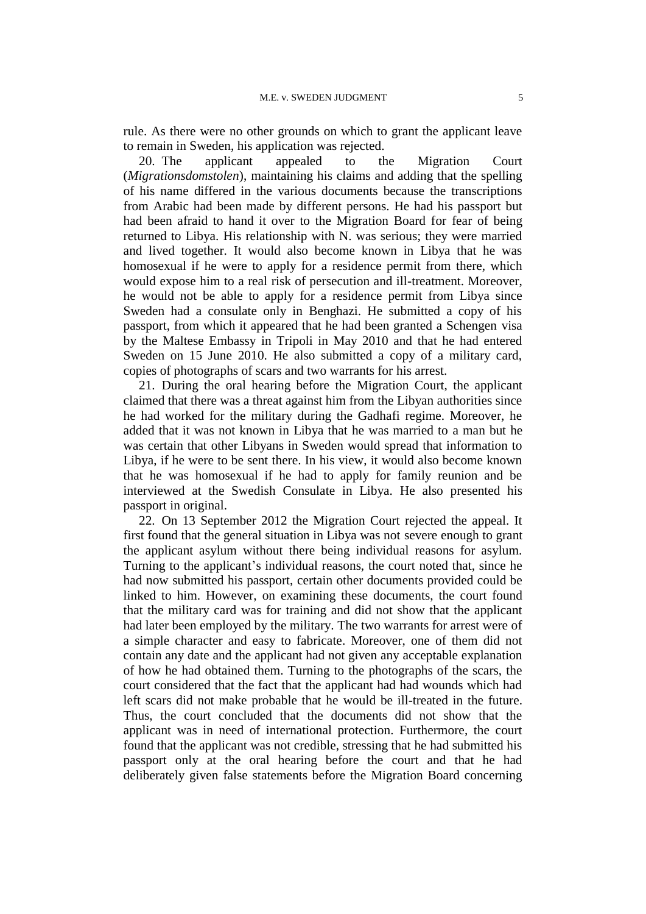rule. As there were no other grounds on which to grant the applicant leave to remain in Sweden, his application was rejected.

20. The applicant appealed to the Migration Court (*Migrationsdomstolen*), maintaining his claims and adding that the spelling of his name differed in the various documents because the transcriptions from Arabic had been made by different persons. He had his passport but had been afraid to hand it over to the Migration Board for fear of being returned to Libya. His relationship with N. was serious; they were married and lived together. It would also become known in Libya that he was homosexual if he were to apply for a residence permit from there, which would expose him to a real risk of persecution and ill-treatment. Moreover, he would not be able to apply for a residence permit from Libya since Sweden had a consulate only in Benghazi. He submitted a copy of his passport, from which it appeared that he had been granted a Schengen visa by the Maltese Embassy in Tripoli in May 2010 and that he had entered Sweden on 15 June 2010. He also submitted a copy of a military card, copies of photographs of scars and two warrants for his arrest.

21. During the oral hearing before the Migration Court, the applicant claimed that there was a threat against him from the Libyan authorities since he had worked for the military during the Gadhafi regime. Moreover, he added that it was not known in Libya that he was married to a man but he was certain that other Libyans in Sweden would spread that information to Libya, if he were to be sent there. In his view, it would also become known that he was homosexual if he had to apply for family reunion and be interviewed at the Swedish Consulate in Libya. He also presented his passport in original.

22. On 13 September 2012 the Migration Court rejected the appeal. It first found that the general situation in Libya was not severe enough to grant the applicant asylum without there being individual reasons for asylum. Turning to the applicant's individual reasons, the court noted that, since he had now submitted his passport, certain other documents provided could be linked to him. However, on examining these documents, the court found that the military card was for training and did not show that the applicant had later been employed by the military. The two warrants for arrest were of a simple character and easy to fabricate. Moreover, one of them did not contain any date and the applicant had not given any acceptable explanation of how he had obtained them. Turning to the photographs of the scars, the court considered that the fact that the applicant had had wounds which had left scars did not make probable that he would be ill-treated in the future. Thus, the court concluded that the documents did not show that the applicant was in need of international protection. Furthermore, the court found that the applicant was not credible, stressing that he had submitted his passport only at the oral hearing before the court and that he had deliberately given false statements before the Migration Board concerning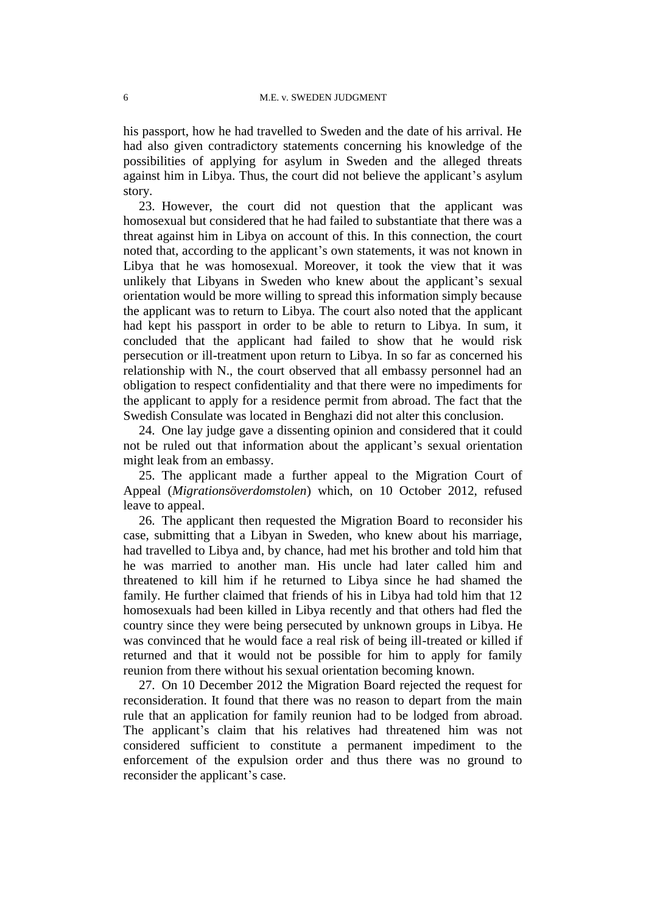his passport, how he had travelled to Sweden and the date of his arrival. He had also given contradictory statements concerning his knowledge of the possibilities of applying for asylum in Sweden and the alleged threats against him in Libya. Thus, the court did not believe the applicant's asylum story.

23. However, the court did not question that the applicant was homosexual but considered that he had failed to substantiate that there was a threat against him in Libya on account of this. In this connection, the court noted that, according to the applicant's own statements, it was not known in Libya that he was homosexual. Moreover, it took the view that it was unlikely that Libyans in Sweden who knew about the applicant's sexual orientation would be more willing to spread this information simply because the applicant was to return to Libya. The court also noted that the applicant had kept his passport in order to be able to return to Libya. In sum, it concluded that the applicant had failed to show that he would risk persecution or ill-treatment upon return to Libya. In so far as concerned his relationship with N., the court observed that all embassy personnel had an obligation to respect confidentiality and that there were no impediments for the applicant to apply for a residence permit from abroad. The fact that the Swedish Consulate was located in Benghazi did not alter this conclusion.

24. One lay judge gave a dissenting opinion and considered that it could not be ruled out that information about the applicant's sexual orientation might leak from an embassy.

25. The applicant made a further appeal to the Migration Court of Appeal (*Migrationsöverdomstolen*) which, on 10 October 2012, refused leave to appeal.

26. The applicant then requested the Migration Board to reconsider his case, submitting that a Libyan in Sweden, who knew about his marriage, had travelled to Libya and, by chance, had met his brother and told him that he was married to another man. His uncle had later called him and threatened to kill him if he returned to Libya since he had shamed the family. He further claimed that friends of his in Libya had told him that 12 homosexuals had been killed in Libya recently and that others had fled the country since they were being persecuted by unknown groups in Libya. He was convinced that he would face a real risk of being ill-treated or killed if returned and that it would not be possible for him to apply for family reunion from there without his sexual orientation becoming known.

27. On 10 December 2012 the Migration Board rejected the request for reconsideration. It found that there was no reason to depart from the main rule that an application for family reunion had to be lodged from abroad. The applicant's claim that his relatives had threatened him was not considered sufficient to constitute a permanent impediment to the enforcement of the expulsion order and thus there was no ground to reconsider the applicant's case.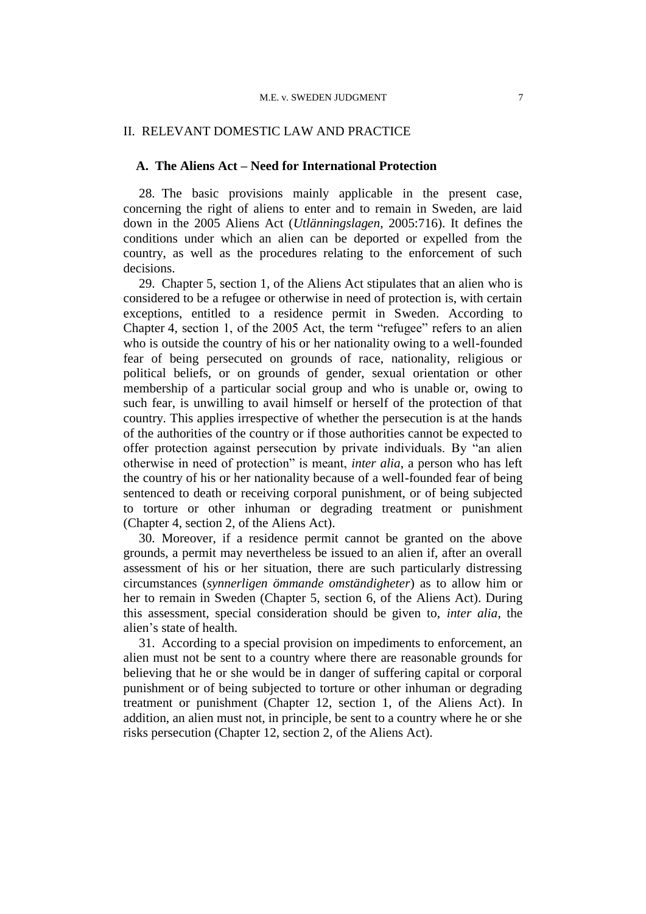### II. RELEVANT DOMESTIC LAW AND PRACTICE

### **A. The Aliens Act – Need for International Protection**

28. The basic provisions mainly applicable in the present case, concerning the right of aliens to enter and to remain in Sweden, are laid down in the 2005 Aliens Act (*Utlänningslagen*, 2005:716). It defines the conditions under which an alien can be deported or expelled from the country, as well as the procedures relating to the enforcement of such decisions.

29. Chapter 5, section 1, of the Aliens Act stipulates that an alien who is considered to be a refugee or otherwise in need of protection is, with certain exceptions, entitled to a residence permit in Sweden. According to Chapter 4, section 1, of the 2005 Act, the term "refugee" refers to an alien who is outside the country of his or her nationality owing to a well-founded fear of being persecuted on grounds of race, nationality, religious or political beliefs, or on grounds of gender, sexual orientation or other membership of a particular social group and who is unable or, owing to such fear, is unwilling to avail himself or herself of the protection of that country. This applies irrespective of whether the persecution is at the hands of the authorities of the country or if those authorities cannot be expected to offer protection against persecution by private individuals. By "an alien otherwise in need of protection" is meant, *inter alia*, a person who has left the country of his or her nationality because of a well-founded fear of being sentenced to death or receiving corporal punishment, or of being subjected to torture or other inhuman or degrading treatment or punishment (Chapter 4, section 2, of the Aliens Act).

30. Moreover, if a residence permit cannot be granted on the above grounds, a permit may nevertheless be issued to an alien if, after an overall assessment of his or her situation, there are such particularly distressing circumstances (*synnerligen ömmande omständigheter*) as to allow him or her to remain in Sweden (Chapter 5, section 6, of the Aliens Act). During this assessment, special consideration should be given to, *inter alia*, the alien's state of health.

31. According to a special provision on impediments to enforcement, an alien must not be sent to a country where there are reasonable grounds for believing that he or she would be in danger of suffering capital or corporal punishment or of being subjected to torture or other inhuman or degrading treatment or punishment (Chapter 12, section 1, of the Aliens Act). In addition, an alien must not, in principle, be sent to a country where he or she risks persecution (Chapter 12, section 2, of the Aliens Act).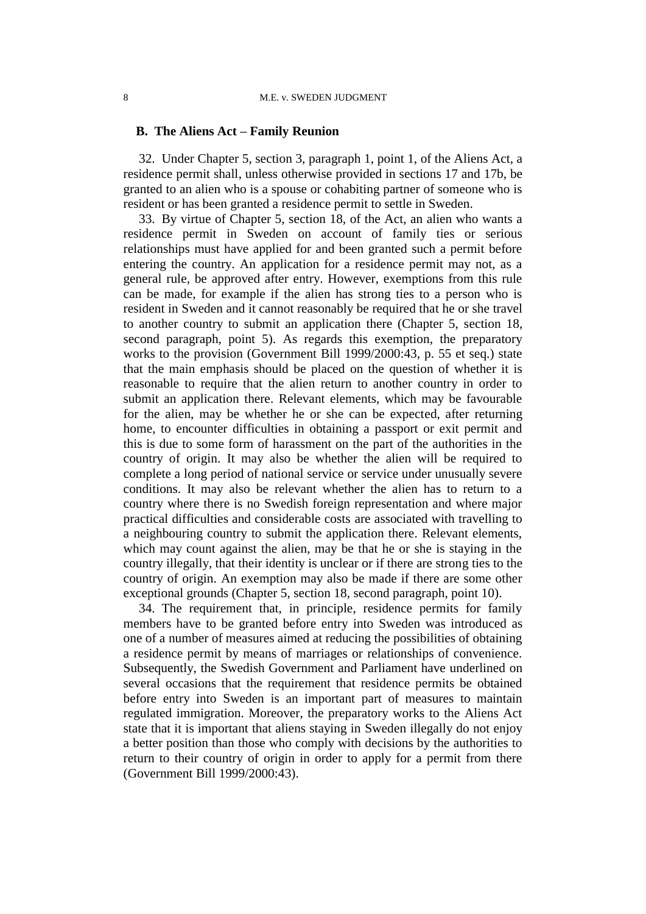#### **B. The Aliens Act – Family Reunion**

32. Under Chapter 5, section 3, paragraph 1, point 1, of the Aliens Act, a residence permit shall, unless otherwise provided in sections 17 and 17b, be granted to an alien who is a spouse or cohabiting partner of someone who is resident or has been granted a residence permit to settle in Sweden.

33. By virtue of Chapter 5, section 18, of the Act, an alien who wants a residence permit in Sweden on account of family ties or serious relationships must have applied for and been granted such a permit before entering the country. An application for a residence permit may not, as a general rule, be approved after entry. However, exemptions from this rule can be made, for example if the alien has strong ties to a person who is resident in Sweden and it cannot reasonably be required that he or she travel to another country to submit an application there (Chapter 5, section 18, second paragraph, point 5). As regards this exemption, the preparatory works to the provision (Government Bill 1999/2000:43, p. 55 et seq.) state that the main emphasis should be placed on the question of whether it is reasonable to require that the alien return to another country in order to submit an application there. Relevant elements, which may be favourable for the alien, may be whether he or she can be expected, after returning home, to encounter difficulties in obtaining a passport or exit permit and this is due to some form of harassment on the part of the authorities in the country of origin. It may also be whether the alien will be required to complete a long period of national service or service under unusually severe conditions. It may also be relevant whether the alien has to return to a country where there is no Swedish foreign representation and where major practical difficulties and considerable costs are associated with travelling to a neighbouring country to submit the application there. Relevant elements, which may count against the alien, may be that he or she is staying in the country illegally, that their identity is unclear or if there are strong ties to the country of origin. An exemption may also be made if there are some other exceptional grounds (Chapter 5, section 18, second paragraph, point 10).

34. The requirement that, in principle, residence permits for family members have to be granted before entry into Sweden was introduced as one of a number of measures aimed at reducing the possibilities of obtaining a residence permit by means of marriages or relationships of convenience. Subsequently, the Swedish Government and Parliament have underlined on several occasions that the requirement that residence permits be obtained before entry into Sweden is an important part of measures to maintain regulated immigration. Moreover, the preparatory works to the Aliens Act state that it is important that aliens staying in Sweden illegally do not enjoy a better position than those who comply with decisions by the authorities to return to their country of origin in order to apply for a permit from there (Government Bill 1999/2000:43).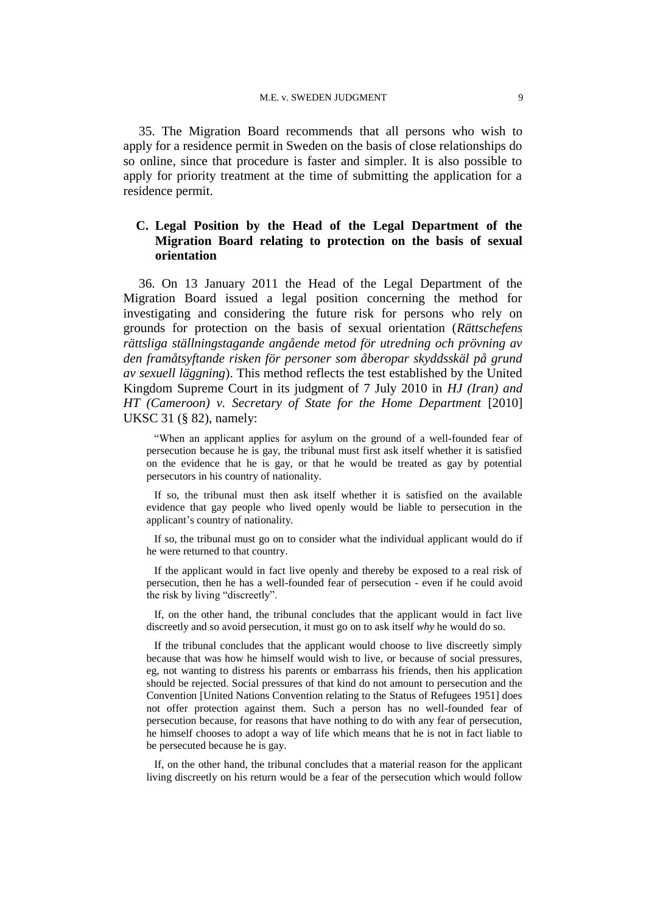35. The Migration Board recommends that all persons who wish to apply for a residence permit in Sweden on the basis of close relationships do so online, since that procedure is faster and simpler. It is also possible to apply for priority treatment at the time of submitting the application for a residence permit.

## **C. Legal Position by the Head of the Legal Department of the Migration Board relating to protection on the basis of sexual orientation**

36. On 13 January 2011 the Head of the Legal Department of the Migration Board issued a legal position concerning the method for investigating and considering the future risk for persons who rely on grounds for protection on the basis of sexual orientation (*Rättschefens rättsliga ställningstagande angående metod för utredning och prövning av den framåtsyftande risken för personer som åberopar skyddsskäl på grund av sexuell läggning*). This method reflects the test established by the United Kingdom Supreme Court in its judgment of 7 July 2010 in *HJ (Iran) and HT* (Cameroon) v. Secretary of State for the Home Department [2010] UKSC 31 (§ 82), namely:

"When an applicant applies for asylum on the ground of a well-founded fear of persecution because he is gay, the tribunal must first ask itself whether it is satisfied on the evidence that he is gay, or that he would be treated as gay by potential persecutors in his country of nationality.

If so, the tribunal must then ask itself whether it is satisfied on the available evidence that gay people who lived openly would be liable to persecution in the applicant's country of nationality.

If so, the tribunal must go on to consider what the individual applicant would do if he were returned to that country.

If the applicant would in fact live openly and thereby be exposed to a real risk of persecution, then he has a well-founded fear of persecution - even if he could avoid the risk by living "discreetly".

If, on the other hand, the tribunal concludes that the applicant would in fact live discreetly and so avoid persecution, it must go on to ask itself *why* he would do so.

If the tribunal concludes that the applicant would choose to live discreetly simply because that was how he himself would wish to live, or because of social pressures, eg, not wanting to distress his parents or embarrass his friends, then his application should be rejected. Social pressures of that kind do not amount to persecution and the Convention [United Nations Convention relating to the Status of Refugees 1951] does not offer protection against them. Such a person has no well-founded fear of persecution because, for reasons that have nothing to do with any fear of persecution, he himself chooses to adopt a way of life which means that he is not in fact liable to be persecuted because he is gay.

If, on the other hand, the tribunal concludes that a material reason for the applicant living discreetly on his return would be a fear of the persecution which would follow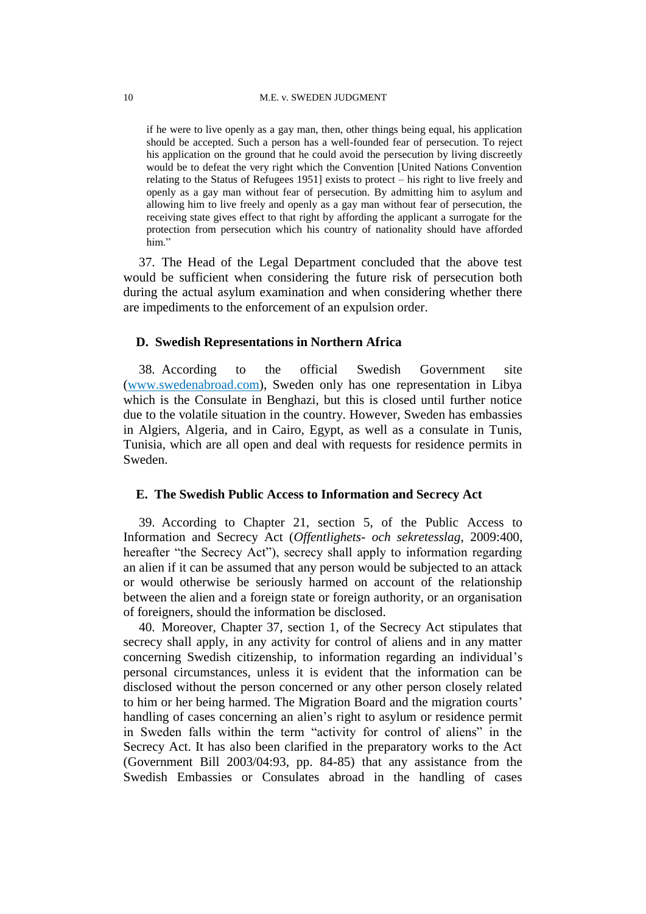if he were to live openly as a gay man, then, other things being equal, his application should be accepted. Such a person has a well-founded fear of persecution. To reject his application on the ground that he could avoid the persecution by living discreetly would be to defeat the very right which the Convention [United Nations Convention relating to the Status of Refugees 1951] exists to protect – his right to live freely and openly as a gay man without fear of persecution. By admitting him to asylum and allowing him to live freely and openly as a gay man without fear of persecution, the receiving state gives effect to that right by affording the applicant a surrogate for the protection from persecution which his country of nationality should have afforded him."

37. The Head of the Legal Department concluded that the above test would be sufficient when considering the future risk of persecution both during the actual asylum examination and when considering whether there are impediments to the enforcement of an expulsion order.

### **D. Swedish Representations in Northern Africa**

38. According to the official Swedish Government site [\(www.swedenabroad.com\)](http://www.swedenabroad.com/), Sweden only has one representation in Libya which is the Consulate in Benghazi, but this is closed until further notice due to the volatile situation in the country. However, Sweden has embassies in Algiers, Algeria, and in Cairo, Egypt, as well as a consulate in Tunis, Tunisia, which are all open and deal with requests for residence permits in Sweden.

### **E. The Swedish Public Access to Information and Secrecy Act**

39. According to Chapter 21, section 5, of the Public Access to Information and Secrecy Act (*Offentlighets- och sekretesslag*, 2009:400, hereafter "the Secrecy Act"), secrecy shall apply to information regarding an alien if it can be assumed that any person would be subjected to an attack or would otherwise be seriously harmed on account of the relationship between the alien and a foreign state or foreign authority, or an organisation of foreigners, should the information be disclosed.

40. Moreover, Chapter 37, section 1, of the Secrecy Act stipulates that secrecy shall apply, in any activity for control of aliens and in any matter concerning Swedish citizenship, to information regarding an individual's personal circumstances, unless it is evident that the information can be disclosed without the person concerned or any other person closely related to him or her being harmed. The Migration Board and the migration courts' handling of cases concerning an alien's right to asylum or residence permit in Sweden falls within the term "activity for control of aliens" in the Secrecy Act. It has also been clarified in the preparatory works to the Act (Government Bill 2003/04:93, pp. 84-85) that any assistance from the Swedish Embassies or Consulates abroad in the handling of cases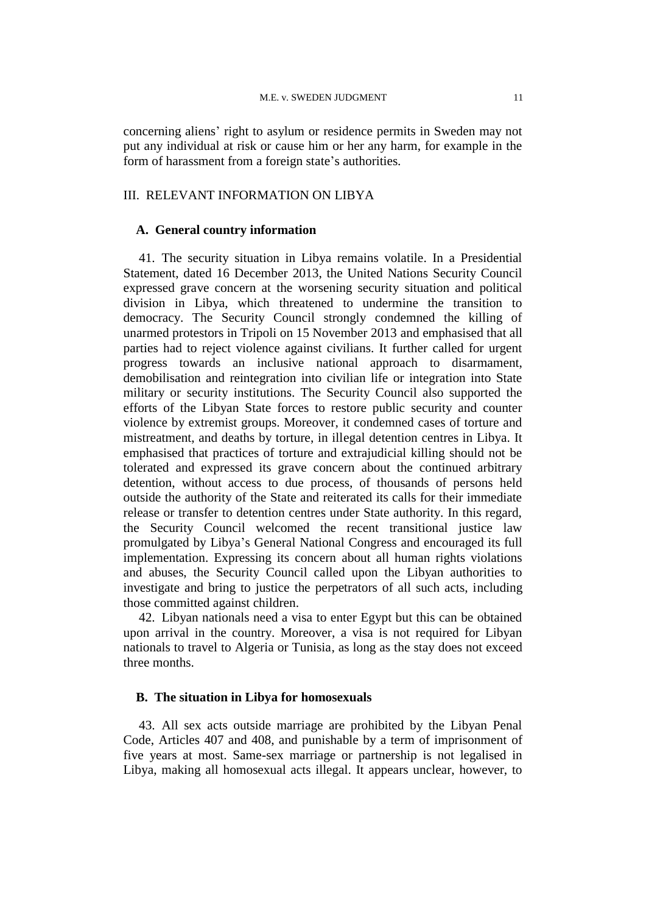concerning aliens' right to asylum or residence permits in Sweden may not put any individual at risk or cause him or her any harm, for example in the form of harassment from a foreign state's authorities.

### III. RELEVANT INFORMATION ON LIBYA

#### **A. General country information**

41. The security situation in Libya remains volatile. In a Presidential Statement, dated 16 December 2013, the United Nations Security Council expressed grave concern at the worsening security situation and political division in Libya, which threatened to undermine the transition to democracy. The Security Council strongly condemned the killing of unarmed protestors in Tripoli on 15 November 2013 and emphasised that all parties had to reject violence against civilians. It further called for urgent progress towards an inclusive national approach to disarmament, demobilisation and reintegration into civilian life or integration into State military or security institutions. The Security Council also supported the efforts of the Libyan State forces to restore public security and counter violence by extremist groups. Moreover, it condemned cases of torture and mistreatment, and deaths by torture, in illegal detention centres in Libya. It emphasised that practices of torture and extrajudicial killing should not be tolerated and expressed its grave concern about the continued arbitrary detention, without access to due process, of thousands of persons held outside the authority of the State and reiterated its calls for their immediate release or transfer to detention centres under State authority. In this regard, the Security Council welcomed the recent transitional justice law promulgated by Libya's General National Congress and encouraged its full implementation. Expressing its concern about all human rights violations and abuses, the Security Council called upon the Libyan authorities to investigate and bring to justice the perpetrators of all such acts, including those committed against children.

42. Libyan nationals need a visa to enter Egypt but this can be obtained upon arrival in the country. Moreover, a visa is not required for Libyan nationals to travel to Algeria or Tunisia, as long as the stay does not exceed three months.

#### **B. The situation in Libya for homosexuals**

43. All sex acts outside marriage are prohibited by the Libyan Penal Code, Articles 407 and 408, and punishable by a term of imprisonment of five years at most. Same-sex marriage or partnership is not legalised in Libya, making all homosexual acts illegal. It appears unclear, however, to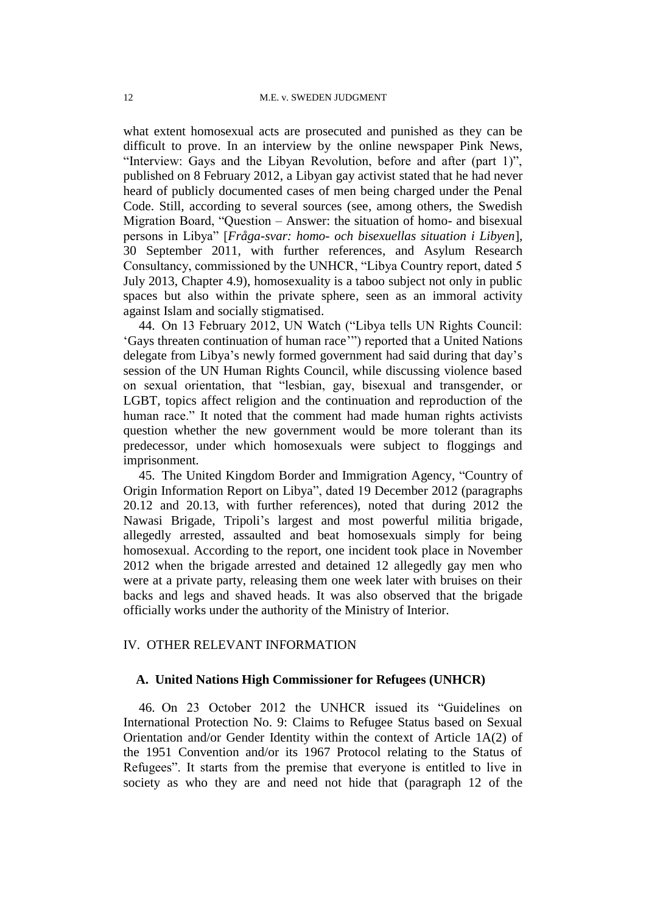what extent homosexual acts are prosecuted and punished as they can be difficult to prove. In an interview by the online newspaper Pink News, "Interview: Gays and the Libyan Revolution, before and after (part 1)", published on 8 February 2012, a Libyan gay activist stated that he had never heard of publicly documented cases of men being charged under the Penal Code. Still, according to several sources (see, among others, the Swedish Migration Board, "Question – Answer: the situation of homo- and bisexual persons in Libya" [*Fråga-svar: homo- och bisexuellas situation i Libyen*], 30 September 2011, with further references, and Asylum Research Consultancy, commissioned by the UNHCR, "Libya Country report, dated 5 July 2013, Chapter 4.9), homosexuality is a taboo subject not only in public spaces but also within the private sphere, seen as an immoral activity against Islam and socially stigmatised.

44. On 13 February 2012, UN Watch ("Libya tells UN Rights Council: 'Gays threaten continuation of human race'") reported that a United Nations delegate from Libya's newly formed government had said during that day's session of the UN Human Rights Council, while discussing violence based on sexual orientation, that "lesbian, gay, bisexual and transgender, or LGBT, topics affect religion and the continuation and reproduction of the human race." It noted that the comment had made human rights activists question whether the new government would be more tolerant than its predecessor, under which homosexuals were subject to floggings and imprisonment.

45. The United Kingdom Border and Immigration Agency, "Country of Origin Information Report on Libya", dated 19 December 2012 (paragraphs 20.12 and 20.13, with further references), noted that during 2012 the Nawasi Brigade, Tripoli's largest and most powerful militia brigade, allegedly arrested, assaulted and beat homosexuals simply for being homosexual. According to the report, one incident took place in November 2012 when the brigade arrested and detained 12 allegedly gay men who were at a private party, releasing them one week later with bruises on their backs and legs and shaved heads. It was also observed that the brigade officially works under the authority of the Ministry of Interior.

#### IV. OTHER RELEVANT INFORMATION

#### **A. United Nations High Commissioner for Refugees (UNHCR)**

46. On 23 October 2012 the UNHCR issued its "Guidelines on International Protection No. 9: Claims to Refugee Status based on Sexual Orientation and/or Gender Identity within the context of Article 1A(2) of the 1951 Convention and/or its 1967 Protocol relating to the Status of Refugees". It starts from the premise that everyone is entitled to live in society as who they are and need not hide that (paragraph 12 of the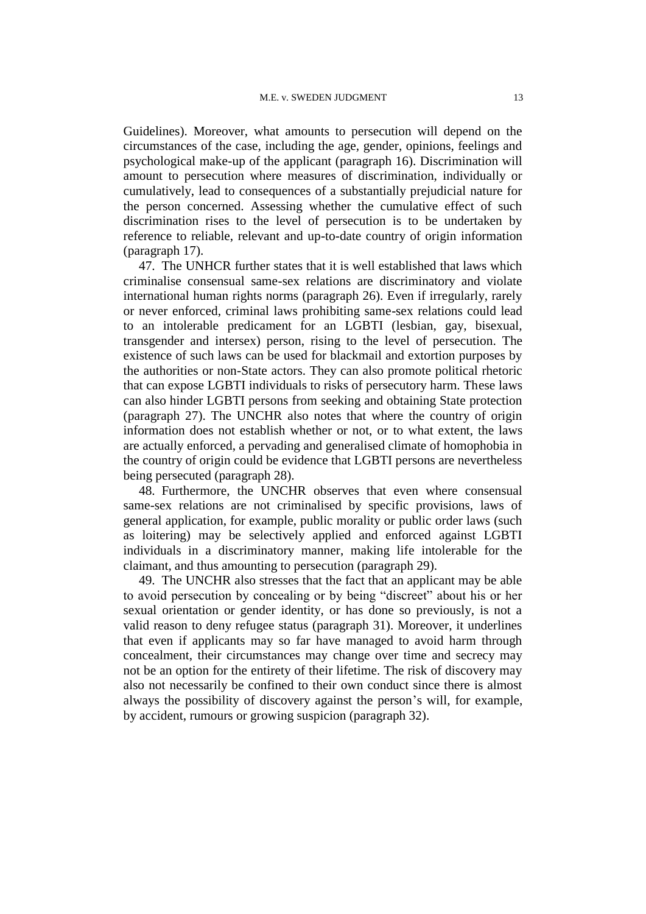Guidelines). Moreover, what amounts to persecution will depend on the circumstances of the case, including the age, gender, opinions, feelings and psychological make-up of the applicant (paragraph 16). Discrimination will amount to persecution where measures of discrimination, individually or cumulatively, lead to consequences of a substantially prejudicial nature for the person concerned. Assessing whether the cumulative effect of such discrimination rises to the level of persecution is to be undertaken by reference to reliable, relevant and up-to-date country of origin information (paragraph 17).

47. The UNHCR further states that it is well established that laws which criminalise consensual same-sex relations are discriminatory and violate international human rights norms (paragraph 26). Even if irregularly, rarely or never enforced, criminal laws prohibiting same-sex relations could lead to an intolerable predicament for an LGBTI (lesbian, gay, bisexual, transgender and intersex) person, rising to the level of persecution. The existence of such laws can be used for blackmail and extortion purposes by the authorities or non-State actors. They can also promote political rhetoric that can expose LGBTI individuals to risks of persecutory harm. These laws can also hinder LGBTI persons from seeking and obtaining State protection (paragraph 27). The UNCHR also notes that where the country of origin information does not establish whether or not, or to what extent, the laws are actually enforced, a pervading and generalised climate of homophobia in the country of origin could be evidence that LGBTI persons are nevertheless being persecuted (paragraph 28).

48. Furthermore, the UNCHR observes that even where consensual same-sex relations are not criminalised by specific provisions, laws of general application, for example, public morality or public order laws (such as loitering) may be selectively applied and enforced against LGBTI individuals in a discriminatory manner, making life intolerable for the claimant, and thus amounting to persecution (paragraph 29).

49. The UNCHR also stresses that the fact that an applicant may be able to avoid persecution by concealing or by being "discreet" about his or her sexual orientation or gender identity, or has done so previously, is not a valid reason to deny refugee status (paragraph 31). Moreover, it underlines that even if applicants may so far have managed to avoid harm through concealment, their circumstances may change over time and secrecy may not be an option for the entirety of their lifetime. The risk of discovery may also not necessarily be confined to their own conduct since there is almost always the possibility of discovery against the person's will, for example, by accident, rumours or growing suspicion (paragraph 32).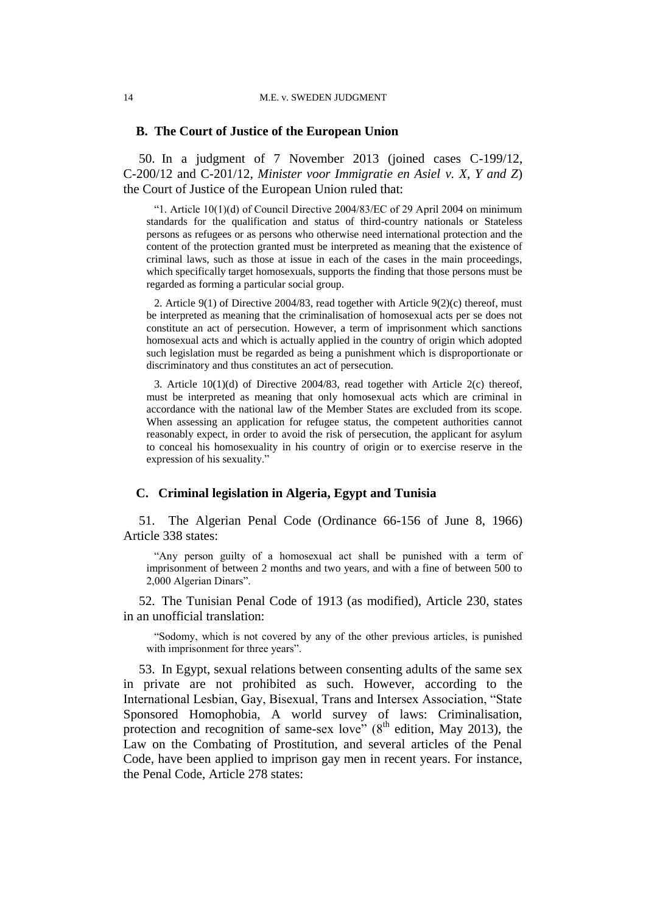#### **B. The Court of Justice of the European Union**

50. In a judgment of 7 November 2013 (joined cases C-199/12, C-200/12 and C-201/12, *Minister voor Immigratie en Asiel v. X, Y and Z*) the Court of Justice of the European Union ruled that:

"1. Article  $10(1)(d)$  of Council Directive 2004/83/EC of 29 April 2004 on minimum standards for the qualification and status of third-country nationals or Stateless persons as refugees or as persons who otherwise need international protection and the content of the protection granted must be interpreted as meaning that the existence of criminal laws, such as those at issue in each of the cases in the main proceedings, which specifically target homosexuals, supports the finding that those persons must be regarded as forming a particular social group.

2. Article 9(1) of Directive 2004/83, read together with Article 9(2)(c) thereof, must be interpreted as meaning that the criminalisation of homosexual acts per se does not constitute an act of persecution. However, a term of imprisonment which sanctions homosexual acts and which is actually applied in the country of origin which adopted such legislation must be regarded as being a punishment which is disproportionate or discriminatory and thus constitutes an act of persecution.

3. Article 10(1)(d) of Directive 2004/83, read together with Article 2(c) thereof, must be interpreted as meaning that only homosexual acts which are criminal in accordance with the national law of the Member States are excluded from its scope. When assessing an application for refugee status, the competent authorities cannot reasonably expect, in order to avoid the risk of persecution, the applicant for asylum to conceal his homosexuality in his country of origin or to exercise reserve in the expression of his sexuality."

### **C. Criminal legislation in Algeria, Egypt and Tunisia**

51. The Algerian Penal Code (Ordinance 66-156 of June 8, 1966) Article 338 states:

"Any person guilty of a homosexual act shall be punished with a term of imprisonment of between 2 months and two years, and with a fine of between 500 to 2,000 Algerian Dinars".

52. The Tunisian Penal Code of 1913 (as modified), Article 230, states in an unofficial translation:

"Sodomy, which is not covered by any of the other previous articles, is punished with imprisonment for three years".

53. In Egypt, sexual relations between consenting adults of the same sex in private are not prohibited as such. However, according to the International Lesbian, Gay, Bisexual, Trans and Intersex Association, "State Sponsored Homophobia, A world survey of laws: Criminalisation, protection and recognition of same-sex love" ( $8<sup>th</sup>$  edition, May 2013), the Law on the Combating of Prostitution, and several articles of the Penal Code, have been applied to imprison gay men in recent years. For instance, the Penal Code, Article 278 states: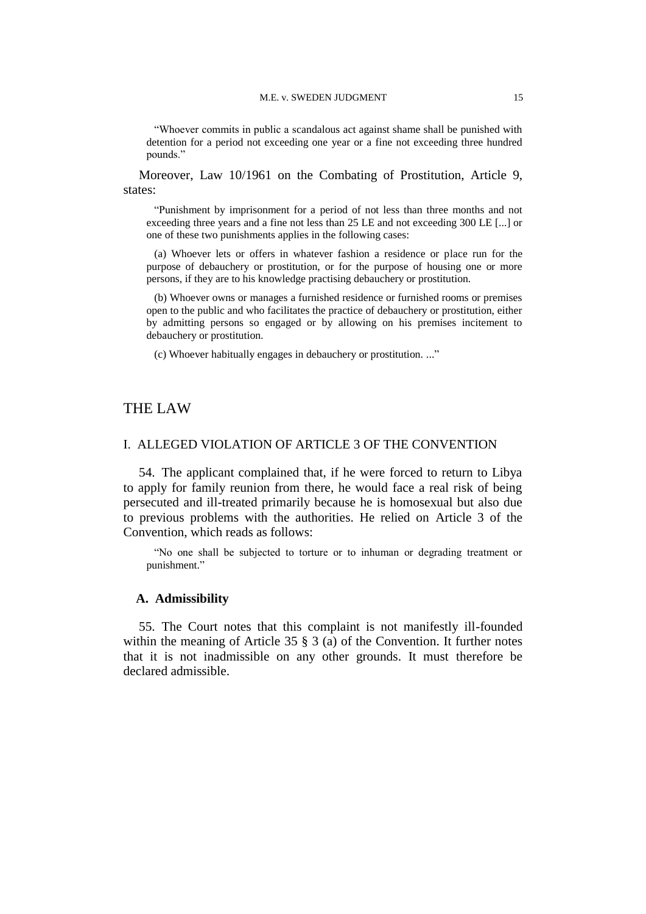"Whoever commits in public a scandalous act against shame shall be punished with detention for a period not exceeding one year or a fine not exceeding three hundred pounds."

Moreover, Law 10/1961 on the Combating of Prostitution, Article 9, states:

"Punishment by imprisonment for a period of not less than three months and not exceeding three years and a fine not less than 25 LE and not exceeding 300 LE [...] or one of these two punishments applies in the following cases:

(a) Whoever lets or offers in whatever fashion a residence or place run for the purpose of debauchery or prostitution, or for the purpose of housing one or more persons, if they are to his knowledge practising debauchery or prostitution.

(b) Whoever owns or manages a furnished residence or furnished rooms or premises open to the public and who facilitates the practice of debauchery or prostitution, either by admitting persons so engaged or by allowing on his premises incitement to debauchery or prostitution.

(c) Whoever habitually engages in debauchery or prostitution. ..."

### THE LAW

#### I. ALLEGED VIOLATION OF ARTICLE 3 OF THE CONVENTION

54. The applicant complained that, if he were forced to return to Libya to apply for family reunion from there, he would face a real risk of being persecuted and ill-treated primarily because he is homosexual but also due to previous problems with the authorities. He relied on Article 3 of the Convention, which reads as follows:

"No one shall be subjected to torture or to inhuman or degrading treatment or punishment."

#### **A. Admissibility**

55. The Court notes that this complaint is not manifestly ill-founded within the meaning of Article 35 § 3 (a) of the Convention. It further notes that it is not inadmissible on any other grounds. It must therefore be declared admissible.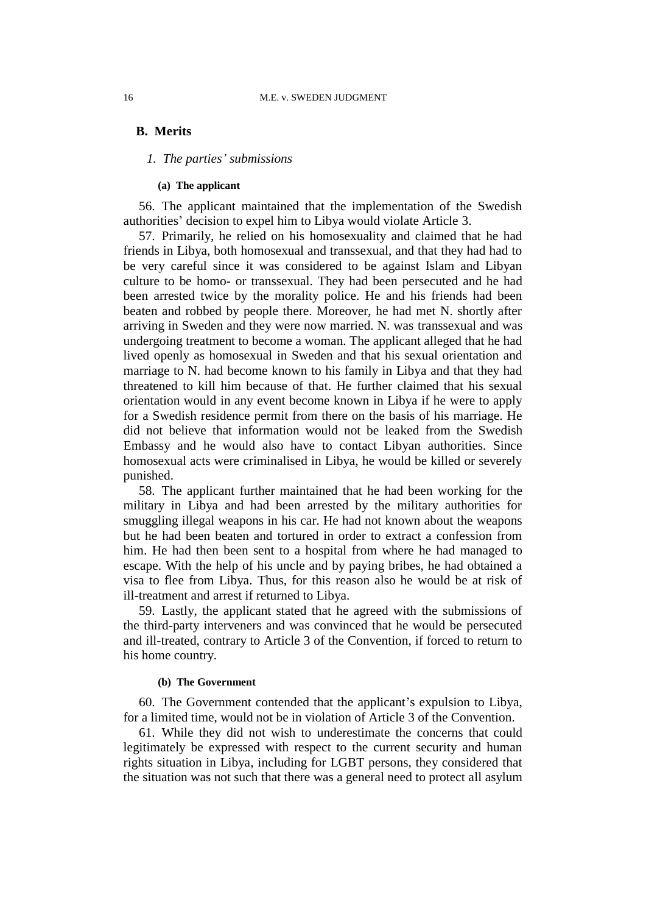### **B. Merits**

#### *1. The parties' submissions*

#### **(a) The applicant**

56. The applicant maintained that the implementation of the Swedish authorities' decision to expel him to Libya would violate Article 3.

57. Primarily, he relied on his homosexuality and claimed that he had friends in Libya, both homosexual and transsexual, and that they had had to be very careful since it was considered to be against Islam and Libyan culture to be homo- or transsexual. They had been persecuted and he had been arrested twice by the morality police. He and his friends had been beaten and robbed by people there. Moreover, he had met N. shortly after arriving in Sweden and they were now married. N. was transsexual and was undergoing treatment to become a woman. The applicant alleged that he had lived openly as homosexual in Sweden and that his sexual orientation and marriage to N. had become known to his family in Libya and that they had threatened to kill him because of that. He further claimed that his sexual orientation would in any event become known in Libya if he were to apply for a Swedish residence permit from there on the basis of his marriage. He did not believe that information would not be leaked from the Swedish Embassy and he would also have to contact Libyan authorities. Since homosexual acts were criminalised in Libya, he would be killed or severely punished.

58. The applicant further maintained that he had been working for the military in Libya and had been arrested by the military authorities for smuggling illegal weapons in his car. He had not known about the weapons but he had been beaten and tortured in order to extract a confession from him. He had then been sent to a hospital from where he had managed to escape. With the help of his uncle and by paying bribes, he had obtained a visa to flee from Libya. Thus, for this reason also he would be at risk of ill-treatment and arrest if returned to Libya.

59. Lastly, the applicant stated that he agreed with the submissions of the third-party interveners and was convinced that he would be persecuted and ill-treated, contrary to Article 3 of the Convention, if forced to return to his home country.

#### **(b) The Government**

60. The Government contended that the applicant's expulsion to Libya, for a limited time, would not be in violation of Article 3 of the Convention.

61. While they did not wish to underestimate the concerns that could legitimately be expressed with respect to the current security and human rights situation in Libya, including for LGBT persons, they considered that the situation was not such that there was a general need to protect all asylum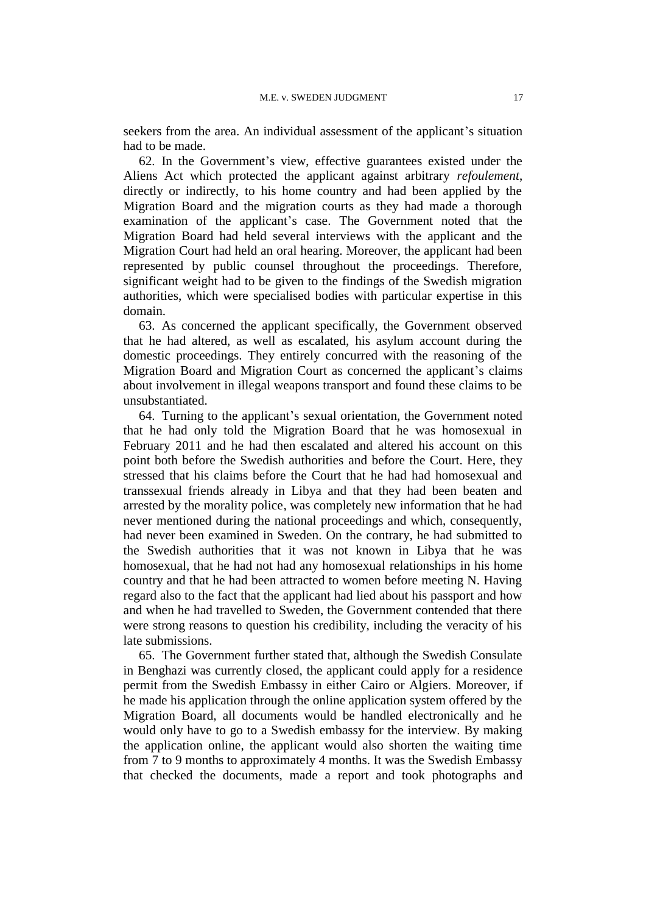seekers from the area. An individual assessment of the applicant's situation had to be made.

62. In the Government's view, effective guarantees existed under the Aliens Act which protected the applicant against arbitrary *refoulement*, directly or indirectly, to his home country and had been applied by the Migration Board and the migration courts as they had made a thorough examination of the applicant's case. The Government noted that the Migration Board had held several interviews with the applicant and the Migration Court had held an oral hearing. Moreover, the applicant had been represented by public counsel throughout the proceedings. Therefore, significant weight had to be given to the findings of the Swedish migration authorities, which were specialised bodies with particular expertise in this domain.

63. As concerned the applicant specifically, the Government observed that he had altered, as well as escalated, his asylum account during the domestic proceedings. They entirely concurred with the reasoning of the Migration Board and Migration Court as concerned the applicant's claims about involvement in illegal weapons transport and found these claims to be unsubstantiated.

64. Turning to the applicant's sexual orientation, the Government noted that he had only told the Migration Board that he was homosexual in February 2011 and he had then escalated and altered his account on this point both before the Swedish authorities and before the Court. Here, they stressed that his claims before the Court that he had had homosexual and transsexual friends already in Libya and that they had been beaten and arrested by the morality police, was completely new information that he had never mentioned during the national proceedings and which, consequently, had never been examined in Sweden. On the contrary, he had submitted to the Swedish authorities that it was not known in Libya that he was homosexual, that he had not had any homosexual relationships in his home country and that he had been attracted to women before meeting N. Having regard also to the fact that the applicant had lied about his passport and how and when he had travelled to Sweden, the Government contended that there were strong reasons to question his credibility, including the veracity of his late submissions.

65. The Government further stated that, although the Swedish Consulate in Benghazi was currently closed, the applicant could apply for a residence permit from the Swedish Embassy in either Cairo or Algiers. Moreover, if he made his application through the online application system offered by the Migration Board, all documents would be handled electronically and he would only have to go to a Swedish embassy for the interview. By making the application online, the applicant would also shorten the waiting time from 7 to 9 months to approximately 4 months. It was the Swedish Embassy that checked the documents, made a report and took photographs and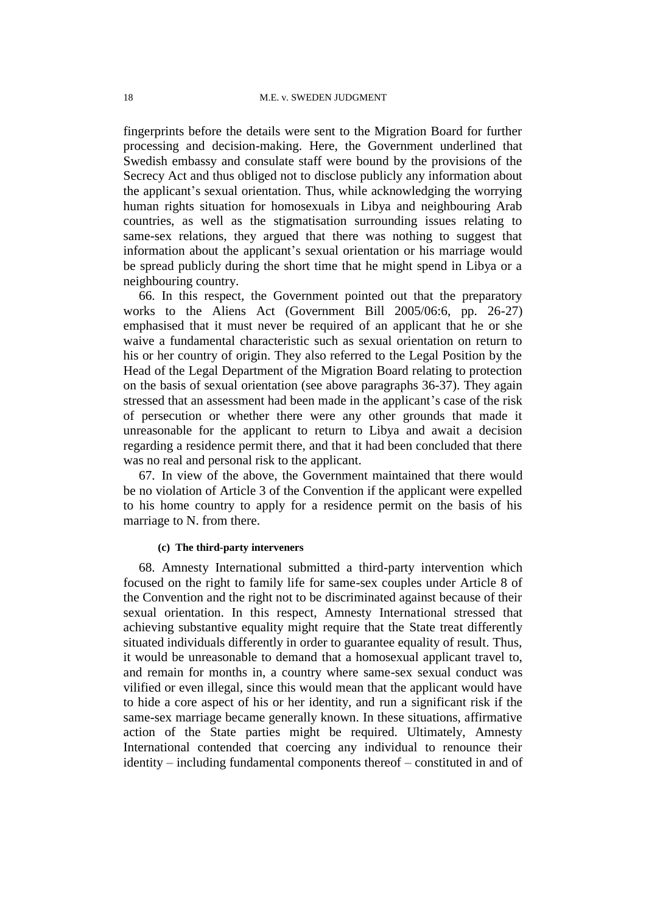fingerprints before the details were sent to the Migration Board for further processing and decision-making. Here, the Government underlined that Swedish embassy and consulate staff were bound by the provisions of the Secrecy Act and thus obliged not to disclose publicly any information about the applicant's sexual orientation. Thus, while acknowledging the worrying human rights situation for homosexuals in Libya and neighbouring Arab countries, as well as the stigmatisation surrounding issues relating to same-sex relations, they argued that there was nothing to suggest that information about the applicant's sexual orientation or his marriage would be spread publicly during the short time that he might spend in Libya or a neighbouring country.

66. In this respect, the Government pointed out that the preparatory works to the Aliens Act (Government Bill 2005/06:6, pp. 26-27) emphasised that it must never be required of an applicant that he or she waive a fundamental characteristic such as sexual orientation on return to his or her country of origin. They also referred to the Legal Position by the Head of the Legal Department of the Migration Board relating to protection on the basis of sexual orientation (see above paragraphs 36-37). They again stressed that an assessment had been made in the applicant's case of the risk of persecution or whether there were any other grounds that made it unreasonable for the applicant to return to Libya and await a decision regarding a residence permit there, and that it had been concluded that there was no real and personal risk to the applicant.

67. In view of the above, the Government maintained that there would be no violation of Article 3 of the Convention if the applicant were expelled to his home country to apply for a residence permit on the basis of his marriage to N. from there.

#### **(c) The third-party interveners**

68. Amnesty International submitted a third-party intervention which focused on the right to family life for same-sex couples under Article 8 of the Convention and the right not to be discriminated against because of their sexual orientation. In this respect, Amnesty International stressed that achieving substantive equality might require that the State treat differently situated individuals differently in order to guarantee equality of result. Thus, it would be unreasonable to demand that a homosexual applicant travel to, and remain for months in, a country where same-sex sexual conduct was vilified or even illegal, since this would mean that the applicant would have to hide a core aspect of his or her identity, and run a significant risk if the same-sex marriage became generally known. In these situations, affirmative action of the State parties might be required. Ultimately, Amnesty International contended that coercing any individual to renounce their identity – including fundamental components thereof – constituted in and of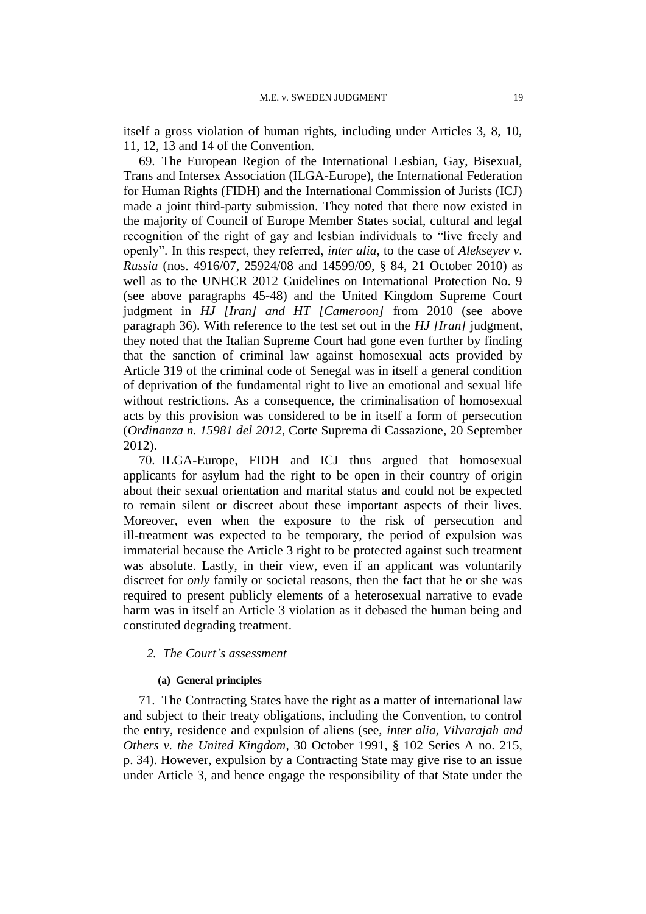itself a gross violation of human rights, including under Articles 3, 8, 10, 11, 12, 13 and 14 of the Convention.

69. The European Region of the International Lesbian, Gay, Bisexual, Trans and Intersex Association (ILGA-Europe), the International Federation for Human Rights (FIDH) and the International Commission of Jurists (ICJ) made a joint third-party submission. They noted that there now existed in the majority of Council of Europe Member States social, cultural and legal recognition of the right of gay and lesbian individuals to "live freely and openly". In this respect, they referred, *inter alia,* to the case of *Alekseyev v. Russia* (nos. 4916/07, 25924/08 and 14599/09, § 84, 21 October 2010) as well as to the UNHCR 2012 Guidelines on International Protection No. 9 (see above paragraphs 45-48) and the United Kingdom Supreme Court judgment in *HJ [Iran] and HT [Cameroon]* from 2010 (see above paragraph 36). With reference to the test set out in the *HJ [Iran]* judgment, they noted that the Italian Supreme Court had gone even further by finding that the sanction of criminal law against homosexual acts provided by Article 319 of the criminal code of Senegal was in itself a general condition of deprivation of the fundamental right to live an emotional and sexual life without restrictions. As a consequence, the criminalisation of homosexual acts by this provision was considered to be in itself a form of persecution (*Ordinanza n. 15981 del 2012*, Corte Suprema di Cassazione, 20 September 2012).

70. ILGA-Europe, FIDH and ICJ thus argued that homosexual applicants for asylum had the right to be open in their country of origin about their sexual orientation and marital status and could not be expected to remain silent or discreet about these important aspects of their lives. Moreover, even when the exposure to the risk of persecution and ill-treatment was expected to be temporary, the period of expulsion was immaterial because the Article 3 right to be protected against such treatment was absolute. Lastly, in their view, even if an applicant was voluntarily discreet for *only* family or societal reasons, then the fact that he or she was required to present publicly elements of a heterosexual narrative to evade harm was in itself an Article 3 violation as it debased the human being and constituted degrading treatment.

#### *2. The Court's assessment*

#### **(a) General principles**

71. The Contracting States have the right as a matter of international law and subject to their treaty obligations, including the Convention, to control the entry, residence and expulsion of aliens (see, *inter alia, Vilvarajah and Others v. the United Kingdom*, 30 October 1991, § 102 Series A no. 215, p. 34). However, expulsion by a Contracting State may give rise to an issue under Article 3, and hence engage the responsibility of that State under the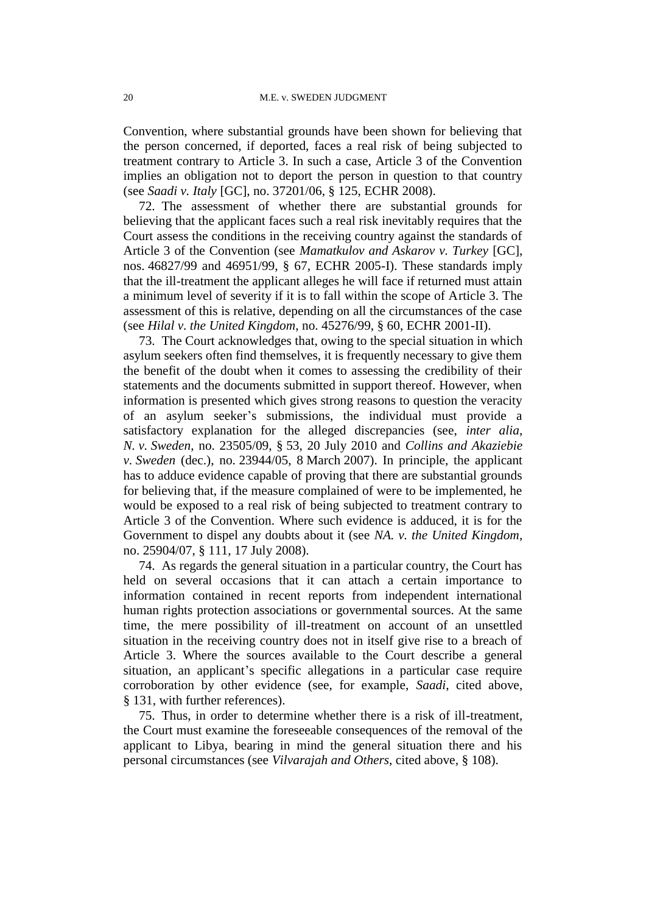Convention, where substantial grounds have been shown for believing that the person concerned, if deported, faces a real risk of being subjected to treatment contrary to Article 3. In such a case, Article 3 of the Convention implies an obligation not to deport the person in question to that country (see *Saadi v. Italy* [GC], no. 37201/06, § 125, ECHR 2008).

72. The assessment of whether there are substantial grounds for believing that the applicant faces such a real risk inevitably requires that the Court assess the conditions in the receiving country against the standards of Article 3 of the Convention (see *Mamatkulov and Askarov v. Turkey* [GC], nos. 46827/99 and 46951/99, § 67, ECHR 2005-I). These standards imply that the ill-treatment the applicant alleges he will face if returned must attain a minimum level of severity if it is to fall within the scope of Article 3. The assessment of this is relative, depending on all the circumstances of the case (see *Hilal v. the United Kingdom*, no. 45276/99, § 60, ECHR 2001-II).

73. The Court acknowledges that, owing to the special situation in which asylum seekers often find themselves, it is frequently necessary to give them the benefit of the doubt when it comes to assessing the credibility of their statements and the documents submitted in support thereof. However, when information is presented which gives strong reasons to question the veracity of an asylum seeker's submissions, the individual must provide a satisfactory explanation for the alleged discrepancies (see, *inter alia*, *N. v. Sweden*, no. 23505/09, § 53, 20 July 2010 and *Collins and Akaziebie v. Sweden* (dec.), no. 23944/05, 8 March 2007). In principle, the applicant has to adduce evidence capable of proving that there are substantial grounds for believing that, if the measure complained of were to be implemented, he would be exposed to a real risk of being subjected to treatment contrary to Article 3 of the Convention. Where such evidence is adduced, it is for the Government to dispel any doubts about it (see *NA. v. the United Kingdom*, no. 25904/07, § 111, 17 July 2008).

74. As regards the general situation in a particular country, the Court has held on several occasions that it can attach a certain importance to information contained in recent reports from independent international human rights protection associations or governmental sources. At the same time, the mere possibility of ill-treatment on account of an unsettled situation in the receiving country does not in itself give rise to a breach of Article 3. Where the sources available to the Court describe a general situation, an applicant's specific allegations in a particular case require corroboration by other evidence (see, for example, *Saadi*, cited above, § 131, with further references).

75. Thus, in order to determine whether there is a risk of ill-treatment, the Court must examine the foreseeable consequences of the removal of the applicant to Libya, bearing in mind the general situation there and his personal circumstances (see *Vilvarajah and Others*, cited above*,* § 108).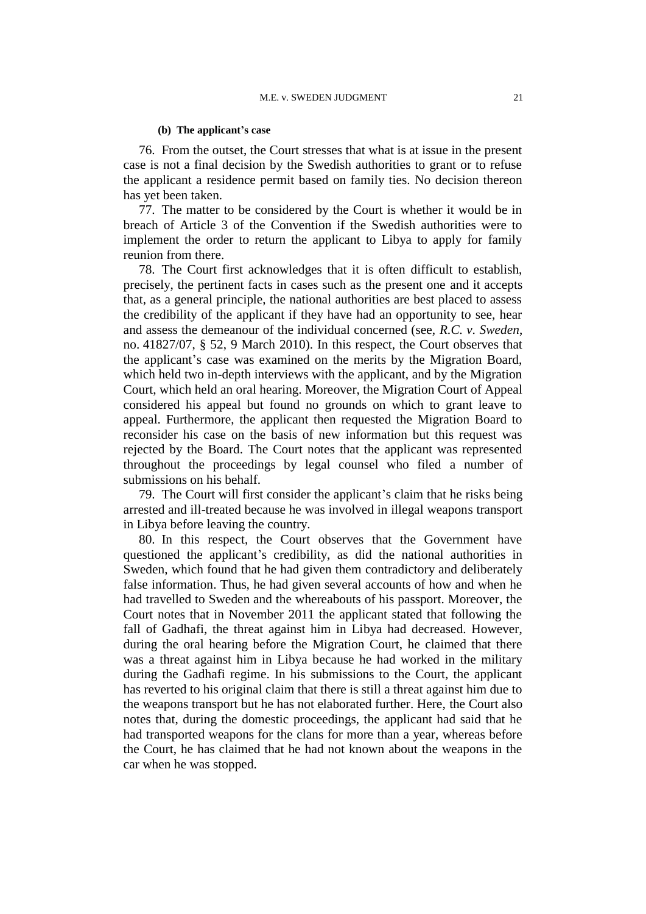#### **(b) The applicant's case**

76. From the outset, the Court stresses that what is at issue in the present case is not a final decision by the Swedish authorities to grant or to refuse the applicant a residence permit based on family ties. No decision thereon has yet been taken.

77. The matter to be considered by the Court is whether it would be in breach of Article 3 of the Convention if the Swedish authorities were to implement the order to return the applicant to Libya to apply for family reunion from there.

78. The Court first acknowledges that it is often difficult to establish, precisely, the pertinent facts in cases such as the present one and it accepts that, as a general principle, the national authorities are best placed to assess the credibility of the applicant if they have had an opportunity to see, hear and assess the demeanour of the individual concerned (see, *R.C. v. Sweden*, no. 41827/07, § 52, 9 March 2010). In this respect, the Court observes that the applicant's case was examined on the merits by the Migration Board, which held two in-depth interviews with the applicant, and by the Migration Court, which held an oral hearing. Moreover, the Migration Court of Appeal considered his appeal but found no grounds on which to grant leave to appeal. Furthermore, the applicant then requested the Migration Board to reconsider his case on the basis of new information but this request was rejected by the Board. The Court notes that the applicant was represented throughout the proceedings by legal counsel who filed a number of submissions on his behalf.

79. The Court will first consider the applicant's claim that he risks being arrested and ill-treated because he was involved in illegal weapons transport in Libya before leaving the country.

80. In this respect, the Court observes that the Government have questioned the applicant's credibility, as did the national authorities in Sweden, which found that he had given them contradictory and deliberately false information. Thus, he had given several accounts of how and when he had travelled to Sweden and the whereabouts of his passport. Moreover, the Court notes that in November 2011 the applicant stated that following the fall of Gadhafi, the threat against him in Libya had decreased. However, during the oral hearing before the Migration Court, he claimed that there was a threat against him in Libya because he had worked in the military during the Gadhafi regime. In his submissions to the Court, the applicant has reverted to his original claim that there is still a threat against him due to the weapons transport but he has not elaborated further. Here, the Court also notes that, during the domestic proceedings, the applicant had said that he had transported weapons for the clans for more than a year, whereas before the Court, he has claimed that he had not known about the weapons in the car when he was stopped.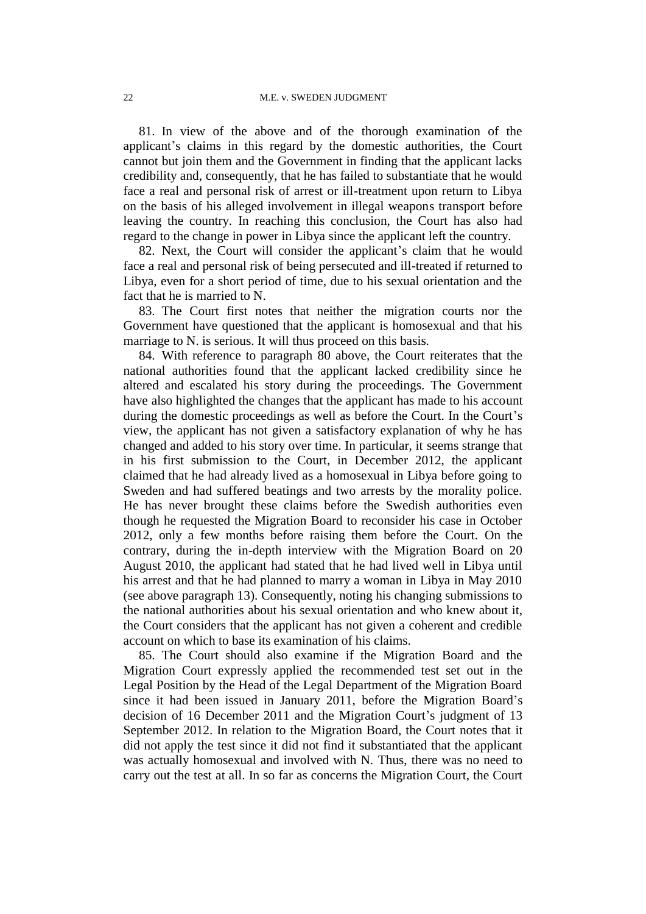81. In view of the above and of the thorough examination of the applicant's claims in this regard by the domestic authorities, the Court cannot but join them and the Government in finding that the applicant lacks credibility and, consequently, that he has failed to substantiate that he would face a real and personal risk of arrest or ill-treatment upon return to Libya on the basis of his alleged involvement in illegal weapons transport before leaving the country. In reaching this conclusion, the Court has also had regard to the change in power in Libya since the applicant left the country.

82. Next, the Court will consider the applicant's claim that he would face a real and personal risk of being persecuted and ill-treated if returned to Libya, even for a short period of time, due to his sexual orientation and the fact that he is married to N.

83. The Court first notes that neither the migration courts nor the Government have questioned that the applicant is homosexual and that his marriage to N. is serious. It will thus proceed on this basis.

84. With reference to paragraph 80 above, the Court reiterates that the national authorities found that the applicant lacked credibility since he altered and escalated his story during the proceedings. The Government have also highlighted the changes that the applicant has made to his account during the domestic proceedings as well as before the Court. In the Court's view, the applicant has not given a satisfactory explanation of why he has changed and added to his story over time. In particular, it seems strange that in his first submission to the Court, in December 2012, the applicant claimed that he had already lived as a homosexual in Libya before going to Sweden and had suffered beatings and two arrests by the morality police. He has never brought these claims before the Swedish authorities even though he requested the Migration Board to reconsider his case in October 2012, only a few months before raising them before the Court. On the contrary, during the in-depth interview with the Migration Board on 20 August 2010, the applicant had stated that he had lived well in Libya until his arrest and that he had planned to marry a woman in Libya in May 2010 (see above paragraph 13). Consequently, noting his changing submissions to the national authorities about his sexual orientation and who knew about it, the Court considers that the applicant has not given a coherent and credible account on which to base its examination of his claims.

85. The Court should also examine if the Migration Board and the Migration Court expressly applied the recommended test set out in the Legal Position by the Head of the Legal Department of the Migration Board since it had been issued in January 2011, before the Migration Board's decision of 16 December 2011 and the Migration Court's judgment of 13 September 2012. In relation to the Migration Board, the Court notes that it did not apply the test since it did not find it substantiated that the applicant was actually homosexual and involved with N. Thus, there was no need to carry out the test at all. In so far as concerns the Migration Court, the Court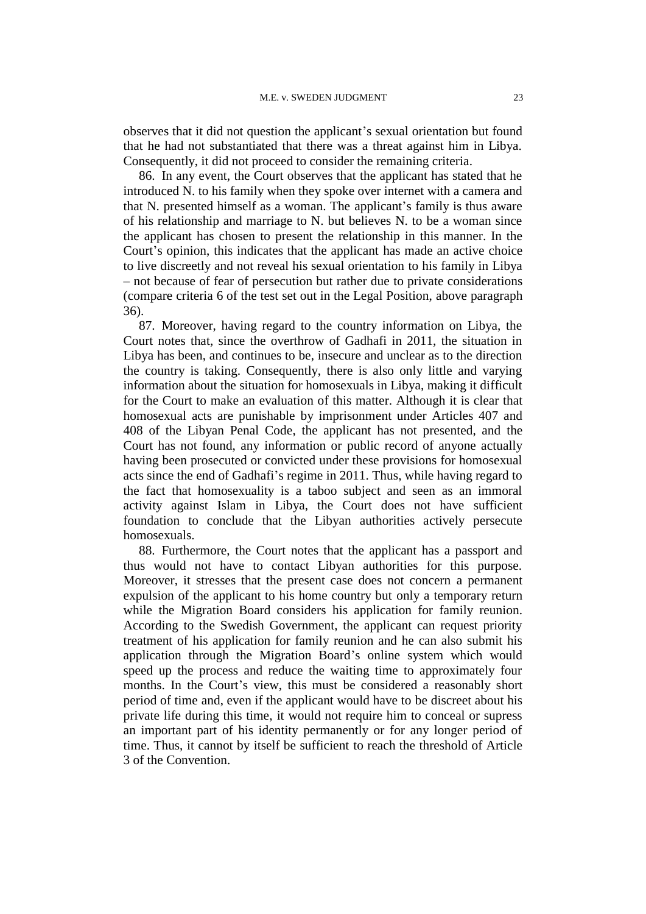observes that it did not question the applicant's sexual orientation but found that he had not substantiated that there was a threat against him in Libya. Consequently, it did not proceed to consider the remaining criteria.

86. In any event, the Court observes that the applicant has stated that he introduced N. to his family when they spoke over internet with a camera and that N. presented himself as a woman. The applicant's family is thus aware of his relationship and marriage to N. but believes N. to be a woman since the applicant has chosen to present the relationship in this manner. In the Court's opinion, this indicates that the applicant has made an active choice to live discreetly and not reveal his sexual orientation to his family in Libya – not because of fear of persecution but rather due to private considerations (compare criteria 6 of the test set out in the Legal Position, above paragraph 36).

87. Moreover, having regard to the country information on Libya, the Court notes that, since the overthrow of Gadhafi in 2011, the situation in Libya has been, and continues to be, insecure and unclear as to the direction the country is taking. Consequently, there is also only little and varying information about the situation for homosexuals in Libya, making it difficult for the Court to make an evaluation of this matter. Although it is clear that homosexual acts are punishable by imprisonment under Articles 407 and 408 of the Libyan Penal Code, the applicant has not presented, and the Court has not found, any information or public record of anyone actually having been prosecuted or convicted under these provisions for homosexual acts since the end of Gadhafi's regime in 2011. Thus, while having regard to the fact that homosexuality is a taboo subject and seen as an immoral activity against Islam in Libya, the Court does not have sufficient foundation to conclude that the Libyan authorities actively persecute homosexuals.

88. Furthermore, the Court notes that the applicant has a passport and thus would not have to contact Libyan authorities for this purpose. Moreover, it stresses that the present case does not concern a permanent expulsion of the applicant to his home country but only a temporary return while the Migration Board considers his application for family reunion. According to the Swedish Government, the applicant can request priority treatment of his application for family reunion and he can also submit his application through the Migration Board's online system which would speed up the process and reduce the waiting time to approximately four months. In the Court's view, this must be considered a reasonably short period of time and, even if the applicant would have to be discreet about his private life during this time, it would not require him to conceal or supress an important part of his identity permanently or for any longer period of time. Thus, it cannot by itself be sufficient to reach the threshold of Article 3 of the Convention.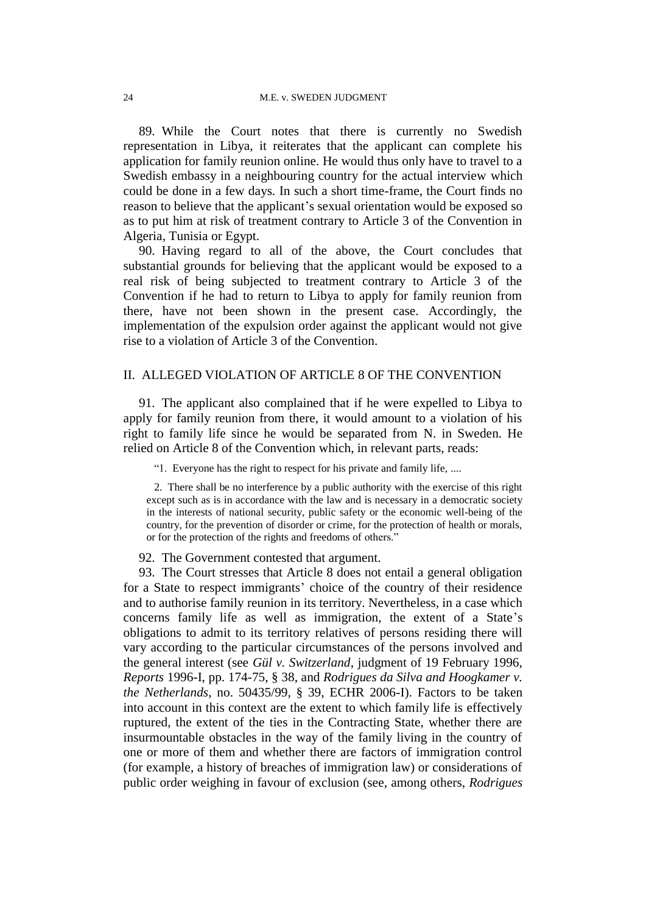89. While the Court notes that there is currently no Swedish representation in Libya, it reiterates that the applicant can complete his application for family reunion online. He would thus only have to travel to a Swedish embassy in a neighbouring country for the actual interview which could be done in a few days. In such a short time-frame, the Court finds no reason to believe that the applicant's sexual orientation would be exposed so as to put him at risk of treatment contrary to Article 3 of the Convention in Algeria, Tunisia or Egypt.

90. Having regard to all of the above, the Court concludes that substantial grounds for believing that the applicant would be exposed to a real risk of being subjected to treatment contrary to Article 3 of the Convention if he had to return to Libya to apply for family reunion from there, have not been shown in the present case. Accordingly, the implementation of the expulsion order against the applicant would not give rise to a violation of Article 3 of the Convention.

### II. ALLEGED VIOLATION OF ARTICLE 8 OF THE CONVENTION

91. The applicant also complained that if he were expelled to Libya to apply for family reunion from there, it would amount to a violation of his right to family life since he would be separated from N. in Sweden. He relied on Article 8 of the Convention which, in relevant parts, reads:

"1. Everyone has the right to respect for his private and family life, ....

2. There shall be no interference by a public authority with the exercise of this right except such as is in accordance with the law and is necessary in a democratic society in the interests of national security, public safety or the economic well-being of the country, for the prevention of disorder or crime, for the protection of health or morals, or for the protection of the rights and freedoms of others."

92. The Government contested that argument.

93. The Court stresses that Article 8 does not entail a general obligation for a State to respect immigrants' choice of the country of their residence and to authorise family reunion in its territory. Nevertheless, in a case which concerns family life as well as immigration, the extent of a State's obligations to admit to its territory relatives of persons residing there will vary according to the particular circumstances of the persons involved and the general interest (see *Gül v. Switzerland*, judgment of 19 February 1996, *Reports* 1996-I, pp. 174-75, § 38, and *Rodrigues da Silva and Hoogkamer v. the Netherlands*, no. 50435/99, § 39, ECHR 2006-I). Factors to be taken into account in this context are the extent to which family life is effectively ruptured, the extent of the ties in the Contracting State, whether there are insurmountable obstacles in the way of the family living in the country of one or more of them and whether there are factors of immigration control (for example, a history of breaches of immigration law) or considerations of public order weighing in favour of exclusion (see, among others, *Rodrigues*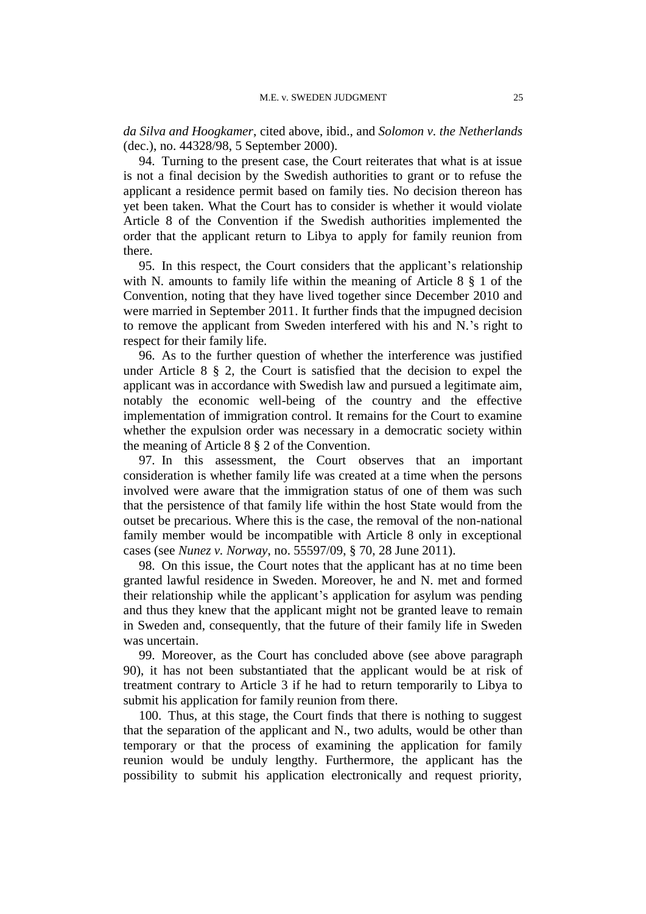*da Silva and Hoogkamer*, cited above, ibid., and *Solomon v. the Netherlands* (dec.), no. 44328/98, 5 September 2000).

94. Turning to the present case, the Court reiterates that what is at issue is not a final decision by the Swedish authorities to grant or to refuse the applicant a residence permit based on family ties. No decision thereon has yet been taken. What the Court has to consider is whether it would violate Article 8 of the Convention if the Swedish authorities implemented the order that the applicant return to Libya to apply for family reunion from there.

95. In this respect, the Court considers that the applicant's relationship with N. amounts to family life within the meaning of Article 8 § 1 of the Convention, noting that they have lived together since December 2010 and were married in September 2011. It further finds that the impugned decision to remove the applicant from Sweden interfered with his and N.'s right to respect for their family life.

96. As to the further question of whether the interference was justified under Article 8 § 2, the Court is satisfied that the decision to expel the applicant was in accordance with Swedish law and pursued a legitimate aim, notably the economic well-being of the country and the effective implementation of immigration control. It remains for the Court to examine whether the expulsion order was necessary in a democratic society within the meaning of Article 8 § 2 of the Convention.

97. In this assessment, the Court observes that an important consideration is whether family life was created at a time when the persons involved were aware that the immigration status of one of them was such that the persistence of that family life within the host State would from the outset be precarious. Where this is the case, the removal of the non-national family member would be incompatible with Article 8 only in exceptional cases (see *Nunez v. Norway*, no. 55597/09, § 70, 28 June 2011).

98. On this issue, the Court notes that the applicant has at no time been granted lawful residence in Sweden. Moreover, he and N. met and formed their relationship while the applicant's application for asylum was pending and thus they knew that the applicant might not be granted leave to remain in Sweden and, consequently, that the future of their family life in Sweden was uncertain.

99. Moreover, as the Court has concluded above (see above paragraph 90), it has not been substantiated that the applicant would be at risk of treatment contrary to Article 3 if he had to return temporarily to Libya to submit his application for family reunion from there.

100. Thus, at this stage, the Court finds that there is nothing to suggest that the separation of the applicant and N., two adults, would be other than temporary or that the process of examining the application for family reunion would be unduly lengthy. Furthermore, the applicant has the possibility to submit his application electronically and request priority,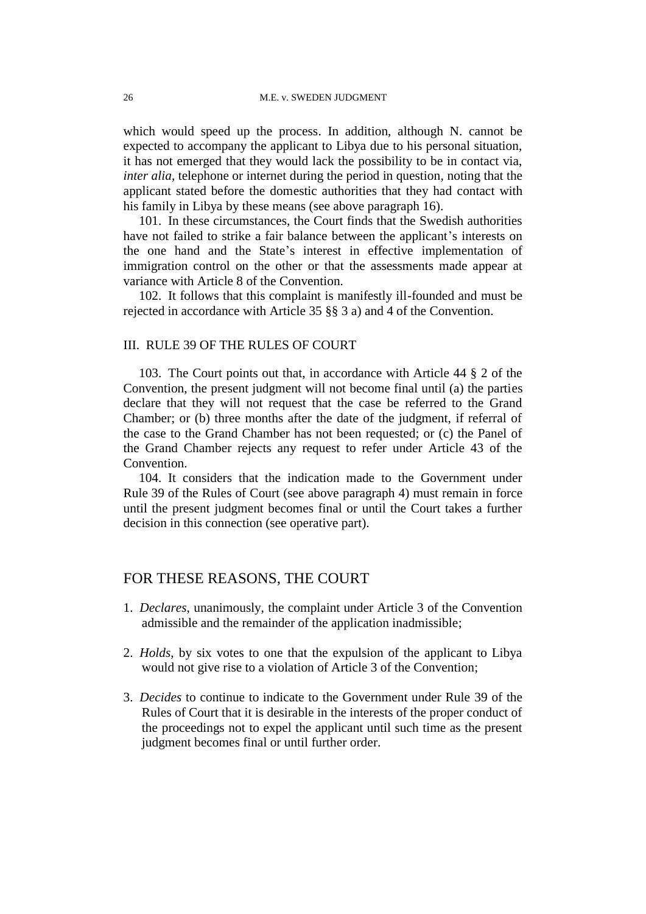which would speed up the process. In addition, although N. cannot be expected to accompany the applicant to Libya due to his personal situation, it has not emerged that they would lack the possibility to be in contact via, *inter alia*, telephone or internet during the period in question, noting that the applicant stated before the domestic authorities that they had contact with his family in Libya by these means (see above paragraph 16).

101. In these circumstances, the Court finds that the Swedish authorities have not failed to strike a fair balance between the applicant's interests on the one hand and the State's interest in effective implementation of immigration control on the other or that the assessments made appear at variance with Article 8 of the Convention.

102. It follows that this complaint is manifestly ill-founded and must be rejected in accordance with Article 35 §§ 3 a) and 4 of the Convention.

### III. RULE 39 OF THE RULES OF COURT

103. The Court points out that, in accordance with Article 44 § 2 of the Convention, the present judgment will not become final until (a) the parties declare that they will not request that the case be referred to the Grand Chamber; or (b) three months after the date of the judgment, if referral of the case to the Grand Chamber has not been requested; or (c) the Panel of the Grand Chamber rejects any request to refer under Article 43 of the Convention.

104. It considers that the indication made to the Government under Rule 39 of the Rules of Court (see above paragraph 4) must remain in force until the present judgment becomes final or until the Court takes a further decision in this connection (see operative part).

## FOR THESE REASONS, THE COURT

- 1. *Declares*, unanimously, the complaint under Article 3 of the Convention admissible and the remainder of the application inadmissible;
- 2. *Holds*, by six votes to one that the expulsion of the applicant to Libya would not give rise to a violation of Article 3 of the Convention;
- 3. *Decides* to continue to indicate to the Government under Rule 39 of the Rules of Court that it is desirable in the interests of the proper conduct of the proceedings not to expel the applicant until such time as the present judgment becomes final or until further order.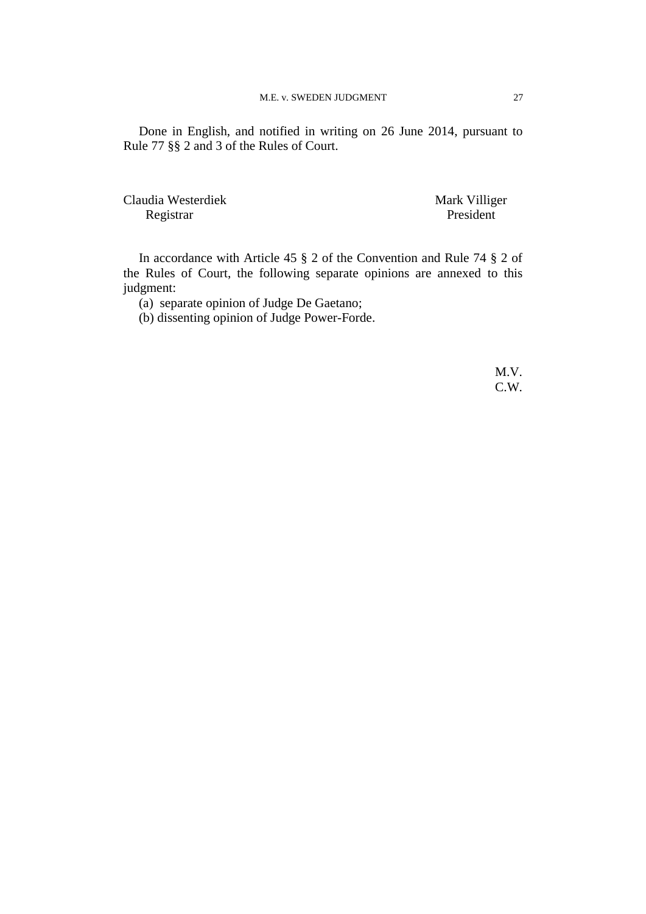Done in English, and notified in writing on 26 June 2014, pursuant to Rule 77 §§ 2 and 3 of the Rules of Court.

Claudia Westerdiek Mark Villiger Registrar President

In accordance with Article 45 § 2 of the Convention and Rule 74 § 2 of the Rules of Court, the following separate opinions are annexed to this judgment:

(a) separate opinion of Judge De Gaetano;

(b) dissenting opinion of Judge Power-Forde.

M.V. C.W.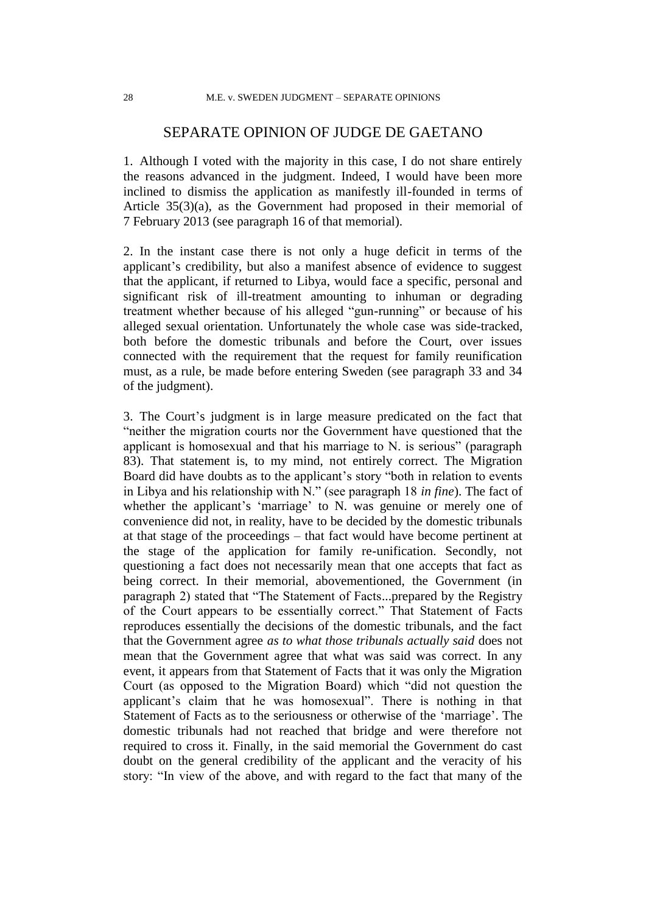# SEPARATE OPINION OF JUDGE DE GAETANO

1.Although I voted with the majority in this case, I do not share entirely the reasons advanced in the judgment. Indeed, I would have been more inclined to dismiss the application as manifestly ill-founded in terms of Article 35(3)(a), as the Government had proposed in their memorial of 7 February 2013 (see paragraph 16 of that memorial).

2.In the instant case there is not only a huge deficit in terms of the applicant's credibility, but also a manifest absence of evidence to suggest that the applicant, if returned to Libya, would face a specific, personal and significant risk of ill-treatment amounting to inhuman or degrading treatment whether because of his alleged "gun-running" or because of his alleged sexual orientation. Unfortunately the whole case was side-tracked, both before the domestic tribunals and before the Court, over issues connected with the requirement that the request for family reunification must, as a rule, be made before entering Sweden (see paragraph 33 and 34 of the judgment).

3. The Court's judgment is in large measure predicated on the fact that "neither the migration courts nor the Government have questioned that the applicant is homosexual and that his marriage to N. is serious" (paragraph 83). That statement is, to my mind, not entirely correct. The Migration Board did have doubts as to the applicant's story "both in relation to events in Libya and his relationship with N." (see paragraph 18 *in fine*). The fact of whether the applicant's 'marriage' to N. was genuine or merely one of convenience did not, in reality, have to be decided by the domestic tribunals at that stage of the proceedings – that fact would have become pertinent at the stage of the application for family re-unification. Secondly, not questioning a fact does not necessarily mean that one accepts that fact as being correct. In their memorial, abovementioned, the Government (in paragraph 2) stated that "The Statement of Facts...prepared by the Registry of the Court appears to be essentially correct." That Statement of Facts reproduces essentially the decisions of the domestic tribunals, and the fact that the Government agree *as to what those tribunals actually said* does not mean that the Government agree that what was said was correct. In any event, it appears from that Statement of Facts that it was only the Migration Court (as opposed to the Migration Board) which "did not question the applicant's claim that he was homosexual". There is nothing in that Statement of Facts as to the seriousness or otherwise of the 'marriage'. The domestic tribunals had not reached that bridge and were therefore not required to cross it. Finally, in the said memorial the Government do cast doubt on the general credibility of the applicant and the veracity of his story: "In view of the above, and with regard to the fact that many of the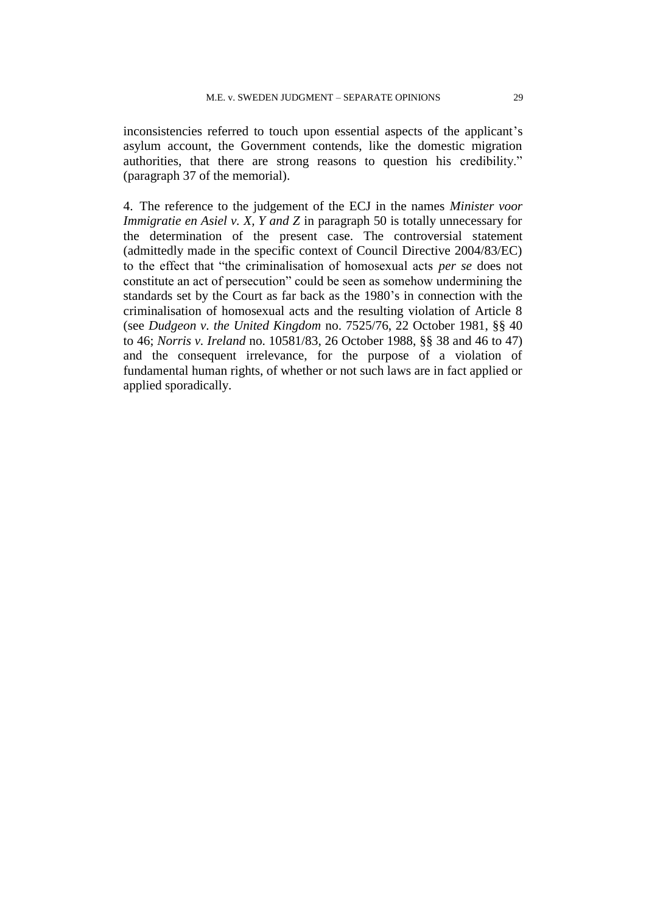inconsistencies referred to touch upon essential aspects of the applicant's asylum account, the Government contends, like the domestic migration authorities, that there are strong reasons to question his credibility." (paragraph 37 of the memorial).

4.The reference to the judgement of the ECJ in the names *Minister voor Immigratie en Asiel v. X, Y and Z in paragraph 50 is totally unnecessary for* the determination of the present case. The controversial statement (admittedly made in the specific context of Council Directive 2004/83/EC) to the effect that "the criminalisation of homosexual acts *per se* does not constitute an act of persecution" could be seen as somehow undermining the standards set by the Court as far back as the 1980's in connection with the criminalisation of homosexual acts and the resulting violation of Article 8 (see *Dudgeon v. the United Kingdom* no. 7525/76, 22 October 1981, §§ 40 to 46; *Norris v. Ireland* no. 10581/83, 26 October 1988, §§ 38 and 46 to 47) and the consequent irrelevance, for the purpose of a violation of fundamental human rights, of whether or not such laws are in fact applied or applied sporadically.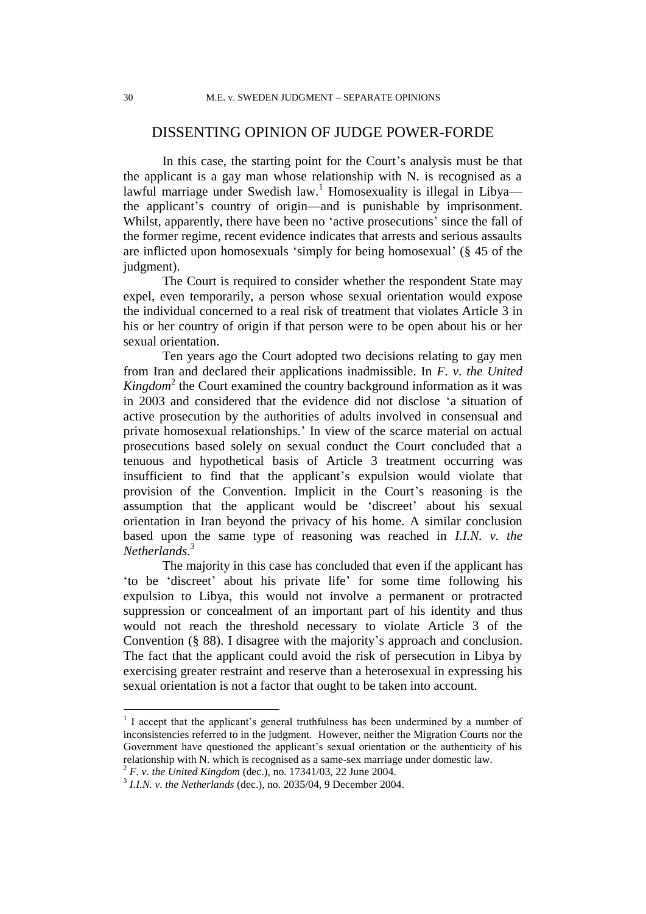# DISSENTING OPINION OF JUDGE POWER-FORDE

In this case, the starting point for the Court's analysis must be that the applicant is a gay man whose relationship with N. is recognised as a lawful marriage under Swedish law.<sup>1</sup> Homosexuality is illegal in Libya the applicant's country of origin—and is punishable by imprisonment. Whilst, apparently, there have been no 'active prosecutions' since the fall of the former regime, recent evidence indicates that arrests and serious assaults are inflicted upon homosexuals 'simply for being homosexual' (§ 45 of the judgment).

The Court is required to consider whether the respondent State may expel, even temporarily, a person whose sexual orientation would expose the individual concerned to a real risk of treatment that violates Article 3 in his or her country of origin if that person were to be open about his or her sexual orientation.

Ten years ago the Court adopted two decisions relating to gay men from Iran and declared their applications inadmissible. In *F. v. the United*  Kingdom<sup>2</sup> the Court examined the country background information as it was in 2003 and considered that the evidence did not disclose 'a situation of active prosecution by the authorities of adults involved in consensual and private homosexual relationships.' In view of the scarce material on actual prosecutions based solely on sexual conduct the Court concluded that a tenuous and hypothetical basis of Article 3 treatment occurring was insufficient to find that the applicant's expulsion would violate that provision of the Convention. Implicit in the Court's reasoning is the assumption that the applicant would be 'discreet' about his sexual orientation in Iran beyond the privacy of his home. A similar conclusion based upon the same type of reasoning was reached in *I.I.N. v. the Netherlands.<sup>3</sup>*

The majority in this case has concluded that even if the applicant has 'to be 'discreet' about his private life' for some time following his expulsion to Libya, this would not involve a permanent or protracted suppression or concealment of an important part of his identity and thus would not reach the threshold necessary to violate Article 3 of the Convention (§ 88). I disagree with the majority's approach and conclusion. The fact that the applicant could avoid the risk of persecution in Libya by exercising greater restraint and reserve than a heterosexual in expressing his sexual orientation is not a factor that ought to be taken into account.

<sup>&</sup>lt;sup>1</sup> I accept that the applicant's general truthfulness has been undermined by a number of inconsistencies referred to in the judgment. However, neither the Migration Courts nor the Government have questioned the applicant's sexual orientation or the authenticity of his relationship with N. which is recognised as a same-sex marriage under domestic law.

<sup>2</sup> *F. v. the United Kingdom* (dec.), no. 17341/03, 22 June 2004.

<sup>3</sup> *I.I.N. v. the Netherlands* (dec.), no. 2035/04, 9 December 2004.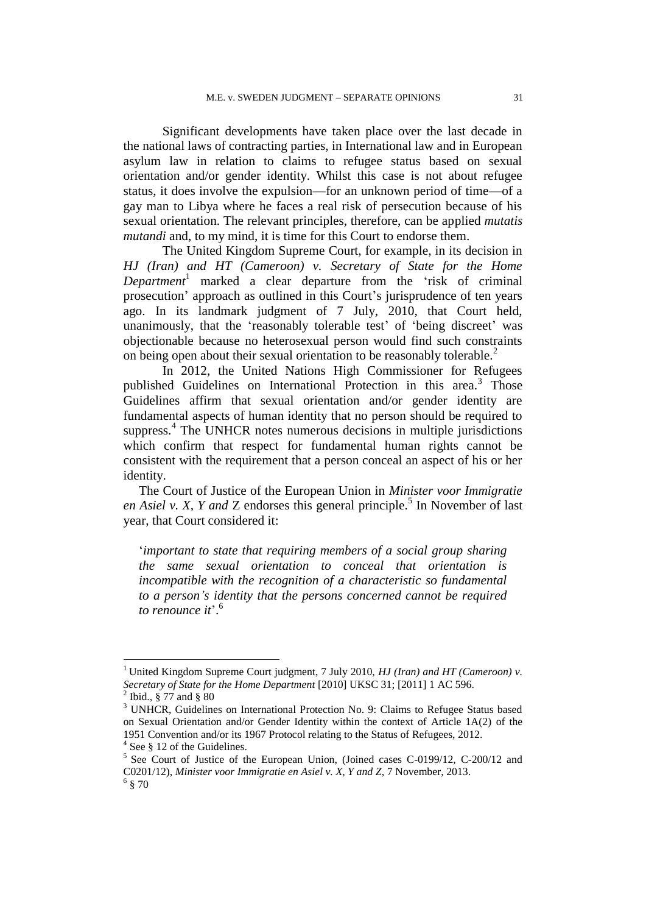Significant developments have taken place over the last decade in the national laws of contracting parties, in International law and in European asylum law in relation to claims to refugee status based on sexual orientation and/or gender identity. Whilst this case is not about refugee status, it does involve the expulsion—for an unknown period of time—of a gay man to Libya where he faces a real risk of persecution because of his sexual orientation. The relevant principles, therefore, can be applied *mutatis mutandi* and, to my mind, it is time for this Court to endorse them.

The United Kingdom Supreme Court, for example, in its decision in *HJ (Iran) and HT (Cameroon) v. Secretary of State for the Home Department*<sup>1</sup> marked a clear departure from the 'risk of criminal prosecution' approach as outlined in this Court's jurisprudence of ten years ago. In its landmark judgment of 7 July, 2010, that Court held, unanimously, that the 'reasonably tolerable test' of 'being discreet' was objectionable because no heterosexual person would find such constraints on being open about their sexual orientation to be reasonably tolerable.<sup>2</sup>

In 2012, the United Nations High Commissioner for Refugees published Guidelines on International Protection in this area.<sup>3</sup> Those Guidelines affirm that sexual orientation and/or gender identity are fundamental aspects of human identity that no person should be required to suppress.<sup>4</sup> The UNHCR notes numerous decisions in multiple jurisdictions which confirm that respect for fundamental human rights cannot be consistent with the requirement that a person conceal an aspect of his or her identity.

The Court of Justice of the European Union in *Minister voor Immigratie*  en Asiel v. X, Y and Z endorses this general principle.<sup>5</sup> In November of last year, that Court considered it:

'*important to state that requiring members of a social group sharing the same sexual orientation to conceal that orientation is incompatible with the recognition of a characteristic so fundamental to a person's identity that the persons concerned cannot be required to renounce it*'. 6

<sup>&</sup>lt;sup>1</sup> United Kingdom Supreme Court judgment, 7 July 2010, *HJ (Iran) and HT (Cameroon) v. Secretary of State for the Home Department* [2010] UKSC 31; [2011] 1 AC 596. 2

Ibid., § 77 and § 80

<sup>&</sup>lt;sup>3</sup> UNHCR, Guidelines on International Protection No. 9: Claims to Refugee Status based on Sexual Orientation and/or Gender Identity within the context of Article 1A(2) of the 1951 Convention and/or its 1967 Protocol relating to the Status of Refugees, 2012.

<sup>&</sup>lt;sup>4</sup> See § 12 of the Guidelines.

<sup>&</sup>lt;sup>5</sup> See Court of Justice of the European Union, (Joined cases C-0199/12, C-200/12 and C0201/12), *Minister voor Immigratie en Asiel v. X, Y and Z*, 7 November, 2013.  $^6$  § 70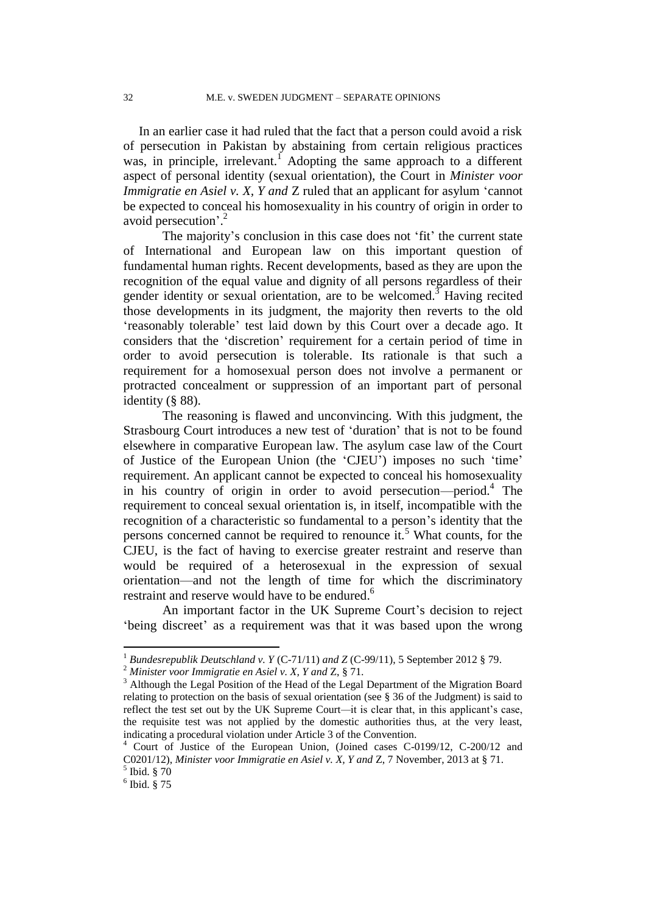In an earlier case it had ruled that the fact that a person could avoid a risk of persecution in Pakistan by abstaining from certain religious practices was, in principle, irrelevant.<sup>1</sup> Adopting the same approach to a different aspect of personal identity (sexual orientation), the Court in *Minister voor Immigratie en Asiel v. X, Y and* Z ruled that an applicant for asylum 'cannot be expected to conceal his homosexuality in his country of origin in order to avoid persecution'. 2

The majority's conclusion in this case does not 'fit' the current state of International and European law on this important question of fundamental human rights. Recent developments, based as they are upon the recognition of the equal value and dignity of all persons regardless of their gender identity or sexual orientation, are to be welcomed.<sup>3</sup> Having recited those developments in its judgment, the majority then reverts to the old 'reasonably tolerable' test laid down by this Court over a decade ago. It considers that the 'discretion' requirement for a certain period of time in order to avoid persecution is tolerable. Its rationale is that such a requirement for a homosexual person does not involve a permanent or protracted concealment or suppression of an important part of personal identity (§ 88).

The reasoning is flawed and unconvincing. With this judgment, the Strasbourg Court introduces a new test of 'duration' that is not to be found elsewhere in comparative European law. The asylum case law of the Court of Justice of the European Union (the 'CJEU') imposes no such 'time' requirement. An applicant cannot be expected to conceal his homosexuality in his country of origin in order to avoid persecution—period.<sup>4</sup> The requirement to conceal sexual orientation is, in itself, incompatible with the recognition of a characteristic so fundamental to a person's identity that the persons concerned cannot be required to renounce it.<sup>5</sup> What counts, for the CJEU, is the fact of having to exercise greater restraint and reserve than would be required of a heterosexual in the expression of sexual orientation—and not the length of time for which the discriminatory restraint and reserve would have to be endured.<sup>6</sup>

An important factor in the UK Supreme Court's decision to reject 'being discreet' as a requirement was that it was based upon the wrong

<sup>1</sup> *Bundesrepublik Deutschland v. Y* (C-71/11) *and Z* (C-99/11), 5 September 2012 § 79.

<sup>2</sup> *Minister voor Immigratie en Asiel v. X, Y and* Z, § 71.

<sup>&</sup>lt;sup>3</sup> Although the Legal Position of the Head of the Legal Department of the Migration Board relating to protection on the basis of sexual orientation (see § 36 of the Judgment) is said to reflect the test set out by the UK Supreme Court*—*it is clear that, in this applicant's case, the requisite test was not applied by the domestic authorities thus, at the very least, indicating a procedural violation under Article 3 of the Convention.

Court of Justice of the European Union, (Joined cases C-0199/12, C-200/12 and C0201/12), *Minister voor Immigratie en Asiel v. X, Y and* Z, 7 November, 2013 at § 71. 5 Ibid. § 70

<sup>6</sup> Ibid. § 75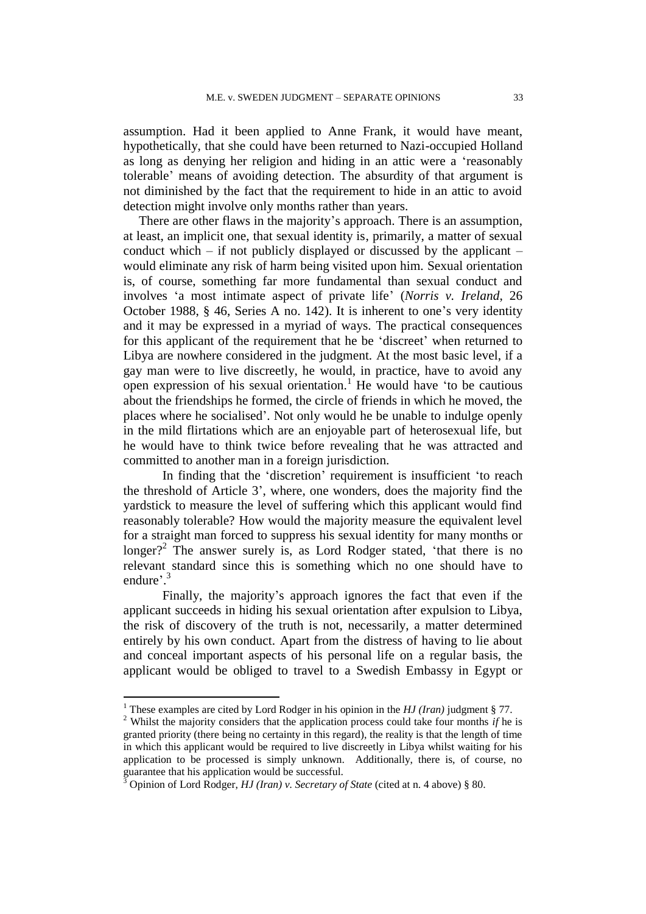assumption. Had it been applied to Anne Frank, it would have meant, hypothetically, that she could have been returned to Nazi-occupied Holland as long as denying her religion and hiding in an attic were a 'reasonably tolerable' means of avoiding detection. The absurdity of that argument is not diminished by the fact that the requirement to hide in an attic to avoid detection might involve only months rather than years.

There are other flaws in the majority's approach. There is an assumption, at least, an implicit one, that sexual identity is, primarily, a matter of sexual conduct which – if not publicly displayed or discussed by the applicant – would eliminate any risk of harm being visited upon him. Sexual orientation is, of course, something far more fundamental than sexual conduct and involves 'a most intimate aspect of private life' (*Norris v. Ireland*, 26 October 1988, § 46, Series A no. 142). It is inherent to one's very identity and it may be expressed in a myriad of ways. The practical consequences for this applicant of the requirement that he be 'discreet' when returned to Libya are nowhere considered in the judgment. At the most basic level, if a gay man were to live discreetly, he would, in practice, have to avoid any open expression of his sexual orientation.<sup>1</sup> He would have 'to be cautious about the friendships he formed, the circle of friends in which he moved, the places where he socialised'. Not only would he be unable to indulge openly in the mild flirtations which are an enjoyable part of heterosexual life, but he would have to think twice before revealing that he was attracted and committed to another man in a foreign jurisdiction.

In finding that the 'discretion' requirement is insufficient 'to reach the threshold of Article 3', where, one wonders, does the majority find the yardstick to measure the level of suffering which this applicant would find reasonably tolerable? How would the majority measure the equivalent level for a straight man forced to suppress his sexual identity for many months or longer?<sup>2</sup> The answer surely is, as Lord Rodger stated, 'that there is no relevant standard since this is something which no one should have to endure'. 3

Finally, the majority's approach ignores the fact that even if the applicant succeeds in hiding his sexual orientation after expulsion to Libya, the risk of discovery of the truth is not, necessarily, a matter determined entirely by his own conduct. Apart from the distress of having to lie about and conceal important aspects of his personal life on a regular basis, the applicant would be obliged to travel to a Swedish Embassy in Egypt or

<sup>1</sup> These examples are cited by Lord Rodger in his opinion in the *HJ (Iran)* judgment § 77.

<sup>2</sup> Whilst the majority considers that the application process could take four months *if* he is granted priority (there being no certainty in this regard), the reality is that the length of time in which this applicant would be required to live discreetly in Libya whilst waiting for his application to be processed is simply unknown. Additionally, there is, of course, no guarantee that his application would be successful.

<sup>3</sup> Opinion of Lord Rodger, *HJ (Iran) v. Secretary of State* (cited at n. 4 above) § 80.